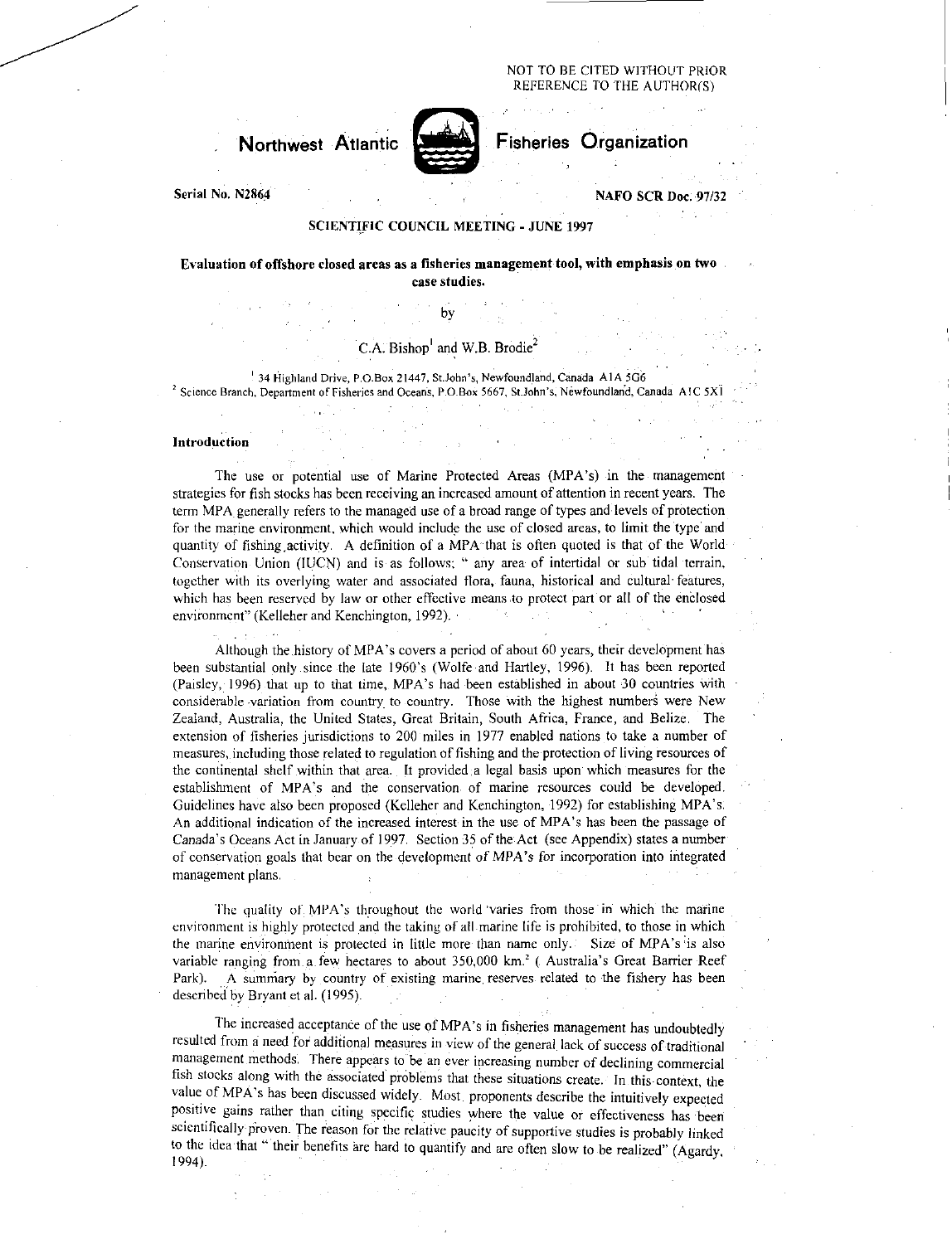#### NOT TO BE CITED WITHOUT PRIOR REFERENCE TO THE AUTHOR(S)

## **Northwest** Atlantic



Fisheries Organization

Serial No. N2864 National According to the SCR Doc. 97/32

#### SCIENTIFIC COUNCIL MEETING - JUNE 1997

### Evaluation of offshore closed areas as a fisheries management tool, with emphasis on two case studies.

## C.A. Bishop<sup>1</sup> and W.B. Brodie<sup>2</sup>

by

34 Highland Drive, P.O.Box 21447, St.John's, Newfoundland, Canada A1A 5G6 Science Branch, Department of Fisheries and Oceans, P.O.Box 5667, St.John's, Newfoundland, Canada AIC 5X1

#### Introduction

The use or potential use of Marine Protected Areas (MPA's) in the management strategies for fish stocks has been receiving an increased amount of attention in recent years. The term MPA generally refers to the managed use of a broad range of types and levels of protection for the marine environment, which would include the use of closed areas, to limit the type and quantity of fishing ,activity. A definition of a MPA that is often quoted is that of the World Conservation Union (IUCN) and is as follows; " any area of intertidal or sub tidal terrain, together with its overlying water and associated flora, fauna, historical and cultural' features, which has been reserved by law or other effective means to protect part or all of the enclosed environment" (Kelleher and Kenchington, 1992).

Although the history of MPA's covers a period of about 60 years, their development has been substantial only since the late 1960's (Wolfe and Hartley, 1996). It has been reported (Paisley, 1996) that up to that time, MPA's had been established in about 30 countries with considerable variation from country to country. Those with the highest numbers were New Zealand, Australia, the United States, Great Britain, South Africa, France, and Belize. The extension of fisheries jurisdictions to 200 miles in 1977 enabled nations to take a number of measures, including those related to regulation of fishing and the protection of living resources of the continental shelf within that area. It provided a legal basis upon which measures for the establishment of MPA's and the conservation of marine resources could be developed. Guidelines have also been proposed (Kelleher and Kenchington, 1992) for establishing MPA's. An additional indication of the increased interest in the use of MPA's has been the passage of Canada's Oceans Act in January of 1997. Section 35 of the Act (see Appendix) states a number of conservation goals that bear on the development of MPA's for incorporation into integrated management plans.

The quality of MPA's throughout the world 'varies from those in which the marine environment is highly protected and the taking of all marine life is prohibited, to those in which the marine environment is protected in little more than name only. Size of MPA's is also variable ranging from a few hectares to about 350,000 km.' ( Australia's Great Barrier Reef Park). A summary by country of existing marine reserves related to the fishery has been described by Bryant et al. (1995).

The increased acceptance of the use of MPA's in fisheries management has undoubtedly resulted from a need fen' additional measures in view of the general lack of success of traditional management methods. There appears to be an ever increasing number of declining commercial fish stocks along with the associated problems that these situations create. In this context, the value of MPA's has been discussed widely. Most proponents describe the intuitively expected positive gains rather than citing specific studies where the value or effectiveness has been scientifically proven. The reason for the relative paucity of supportive studies is probably linked to the idea that "their benefits are hard to quantify and are often slow to be realized" (Agardy, 1994).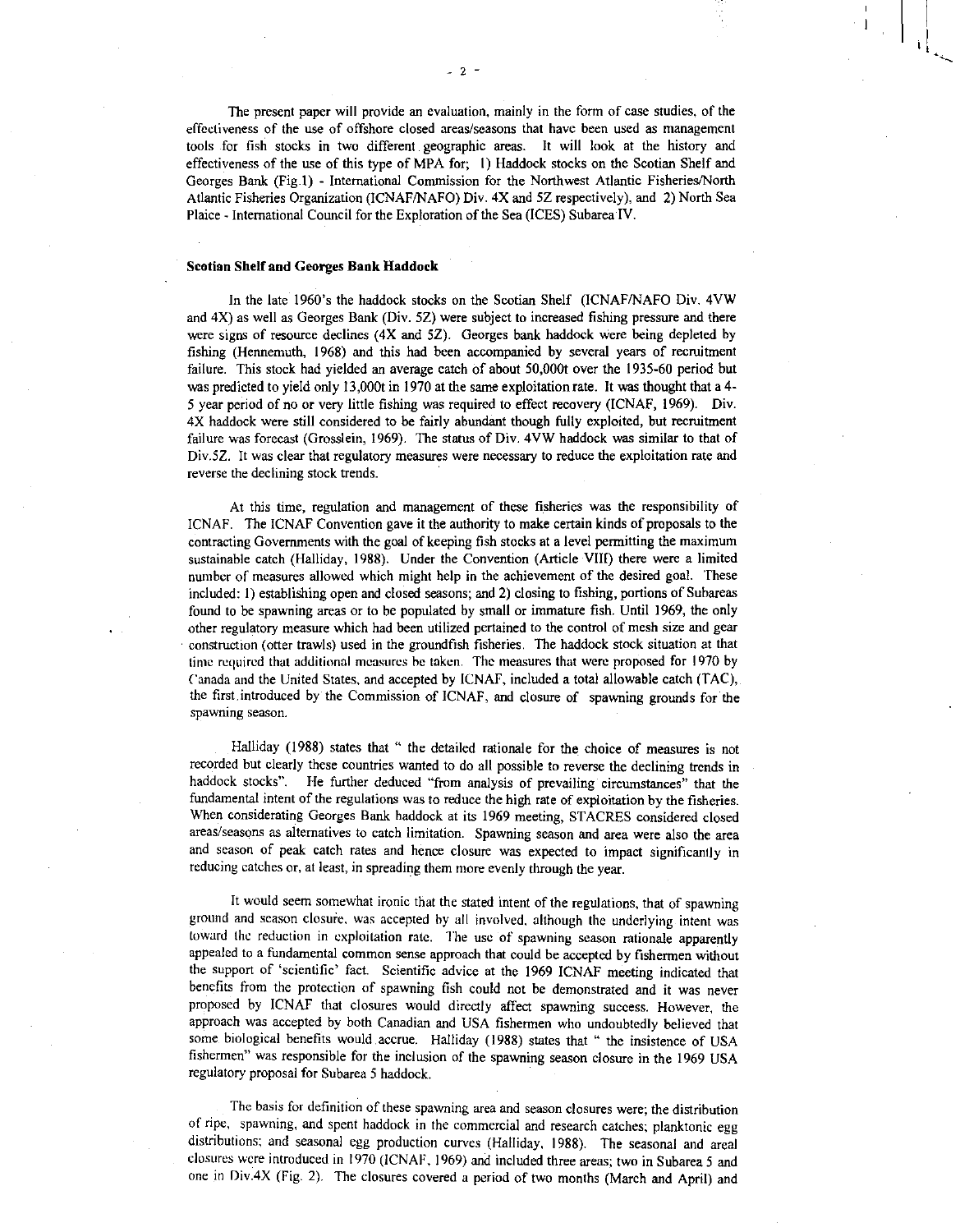The present paper will provide an evaluation, mainly in the form of case studies, of the effectiveness of the use of offshore closed areas/seasons that have been used as management tools for fish stocks in two different geographic areas. It will look at the history and effectiveness of the use of this type of MPA for; I) Haddock stocks on the Scotian Shelf and Georges Bank (Fig .1) - International Commission for the Northwest Atlantic Fisheries/North Atlantic Fisheries Organization (ICNAF/NAFO) Div. 4X and 5Z respectively), and 2) North Sea Plaice - International Council for the Exploration of the Sea (ICES) Subarea IV.

#### Scotian Shelf and Georges Bank Haddock

In the late 1960's the haddock stocks on the Scotian Shelf (ICNAF/NAFO Div. 4VW and 4X) as well as Georges Bank (Div. 5Z) were subject to increased fishing pressure and there were signs of resource declines (4X and 5Z). Georges bank haddock were being depleted by fishing (Hennemuth, 1968) and this had been accompanied by several years of recruitment failure. This stock had yielded an average catch of about 50,000t over the 1935-60 period but was predicted to yield only 13,000t in 1970 at the same exploitation rate. It was thought that a 4- 5 year period of no or very little fishing was required to effect recovery (ICNAF, 1969). Div. 4X haddock were still considered to be fairly abundant though fully exploited, but recruitment failure was forecast (Grosslein, 1969). The status of Div. 4VW haddock was similar to that of Div.5Z. It was clear that regulatory measures were necessary to reduce the exploitation rate and reverse the declining stock trends.

At this time, regulation and management of these fisheries was the responsibility of ICNAF. The ICNAF Convention gave it the authority to make certain kinds of proposals to the contracting Governments with the goal of keeping fish stocks at a level permitting the maximum sustainable catch (Halliday, 1988). Under the Convention (Article VIII) there were a limited number of measures allowed which might help in the achievement of the desired goal. These included: I) establishing open and closed seasons; and 2) closing to fishing, portions of Subareas found to be spawning areas or to be populated by small or immature fish. Until 1969, the only other regulatory measure which had been utilized pertained to the control of mesh size and gear construction (otter trawls) used in the groundfish fisheries. The haddock stock situation at that time required that additional measures he taken. The measures that were proposed for 1970 by Canada and the United States, and accepted by ICNAF, included a total allowable catch (TAC), the first.introduced by the Commission of ICNAF, and closure of spawning grounds for the spawning season.

Halliday (1988) states that " the detailed rationale for the choice of measures is not recorded but clearly these countries wanted to do all possible to reverse the declining trends in haddock stocks". He further deduced "from analysis of prevailing circumstances" that the fundamental intent of the regulations was to reduce the high rate of exploitation by the fisheries. When considerating Georges Bank haddock at its 1969 meeting, STACRES considered closed areas/seasons as alternatives to catch limitation. Spawning season and area were also the area and season of peak catch rates and hence closure was expected to impact significantly in reducing catches or, at least, in spreading them more evenly through the year.

It would seem somewhat ironic that the stated intent of the regulations, that of spawning ground and season closure, was accepted by all involved, although the underlying intent was toward the reduction in exploitation rate. The use of spawning season rationale apparently appealed to a fundamental common sense approach that could be accepted by fishermen without the support of 'scientific' fact. Scientific advice at the 1969 ICNAF meeting indicated that benefits from the protection of spawning fish could not be demonstrated and it was never proposed by ICNAF that closures would directly affect spawning success. However, the approach was accepted by both Canadian and USA fishermen who undoubtedly believed that some biological benefits would accrue. Halliday (1988) states that " the insistence of USA fishermen" was responsible for the inclusion of the spawning season closure in the 1969 USA regulatory proposal for Subarea 5 haddock.

The basis for definition of these spawning area and season closures were; the distribution of ripe, spawning, and spent haddock in the commercial and research catches; planktonic egg distributions; and seasonal egg production curves (Halliday, 1988). The seasonal and areal closures were introduced in 1970 (ICNAF, 1969) and included three areas; two in Subarea 5 and one in Div.4X (Fig. 2). The closures covered a period of two months (March and April) and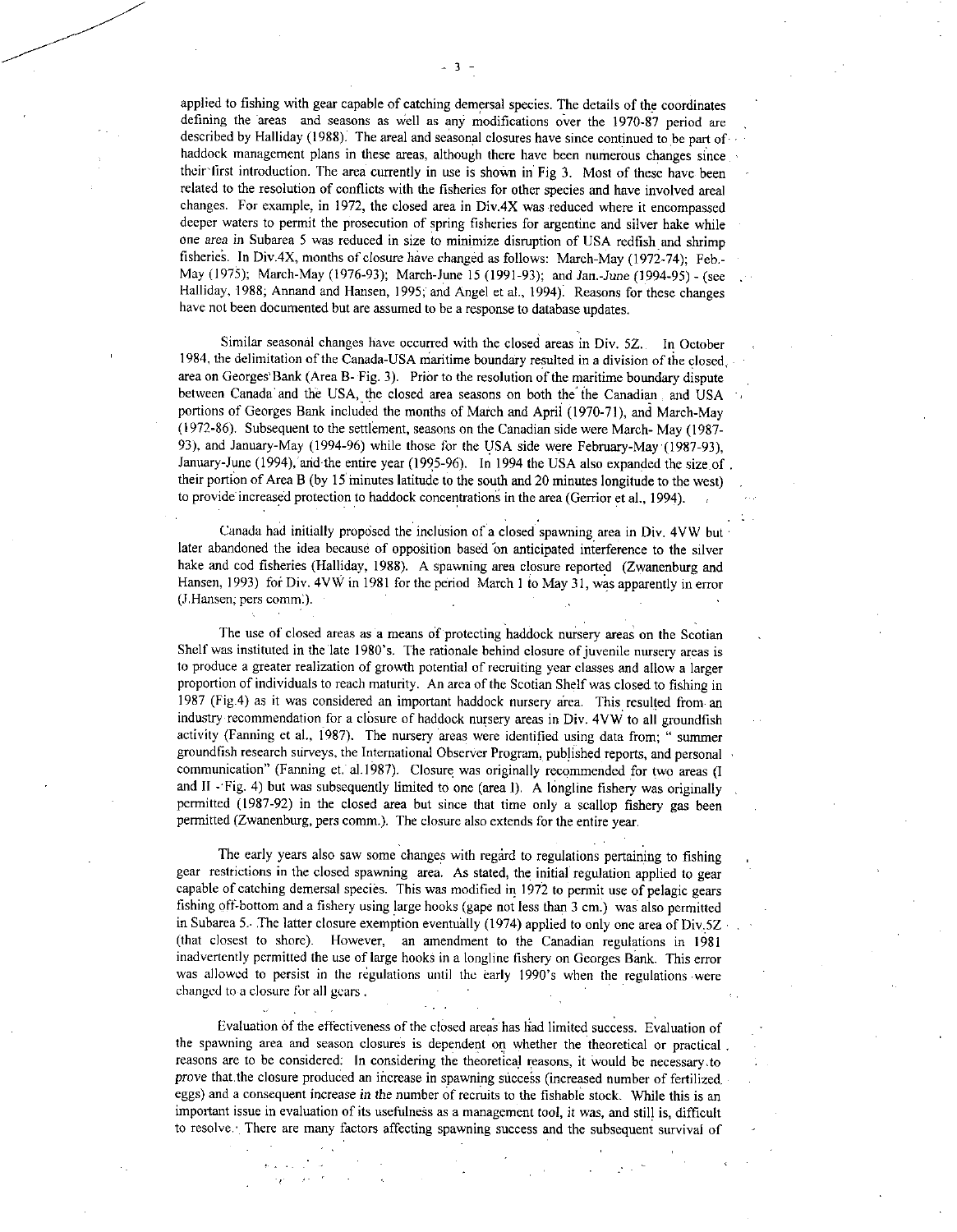applied to fishing with gear capable of catching demersal species. The details of the coordinates defining the areas and seasons as Well as any modifications over the 1970-87 period are described by Halliday (1988). The areal and seasonal closures have since continued to be part of • haddock management plans in these areas, although there have been numerous changes since their first introduction. The area currently in use is shown in Fig 3. Most of these have been related to the resolution of conflicts with the fisheries for other species and have involved areal changes. For example, in 1972, the closed area in Div.4X was reduced where it encompassed deeper waters to permit the prosecution of spring fisheries for argentine and silver hake while one *area* in Subarea 5 was reduced in size to minimize disruption of USA redfish and shrimp fisheries. In Div.4X, months of closure have changed as follows: March-May (1972-74); Feb.-May (1975); March-May (1976-93); March-June 15 (1991-93); and Jam-June (1994-95) - (see Halliday, 1988; Annand and Hansen, 1995; and Angel et al., 1994). Reasons for these changes have not been documented but are assumed to be a response to database updates.

Similar seasonal changes have occurred with the closed areas in Div. 5Z. In October 1984, the delimitation of the Canada-USA Maritime boundary resulted in a division of the closed, area on Georges Bank (Area B- Fig. 3). Prior to the resolution of the maritime boundary dispute between Canada and the USA, the closed area seasons on both the the Canadian and USA portions of Georges Bank included the months of March and April (1970-71), and March-May (1972-86). Subsequent to the settlement, seasons on the Canadian side were March- May (1987- 93), and January-May (1994-96) while those for the USA side were February-May (1987-93), January-June (1994), and the entire year (1995-96). In 1994 the USA also expanded the size of . their portion of Area B (by 15 minutes latitude to the south and 20 minutes longitude to the west) to provide increased protection to haddock concentrations in the area (Gerrior et al., 1994).

Canada had initially proposed the inclusion of a closed spawning area in Div. 4VW but later abandoned the idea because of opposition based on anticipated interference to the silver hake and cod fisheries (Halliday, 1988). A spawning area closure reported (Zwanenburg and Hansen, 1993) for Div. 4VW in 1981 for the period March 1 to May 31, was apparently in error (J.Hansen; pers comm:).

The use of closed areas as a means of protecting haddock nursery areas on the Scotian Shelf was instituted in the late 1980's. The rationale behind closure of juvenile nursery areas is to produce a greater realization of growth potential of recruiting year classes and allow a larger proportion of individuals to reach maturity. An area of the Scotian Shelf was closed to fishing in 1987 (Fig.4) as it was considered an important haddock nursery area. This resulted from an industry recommendation for a closure of haddock nursery areas in Div. 4VW to all groundfish activity (Fanning et al., 1987). The nursery areas were identified using data from; " summer groundfish research surveys, the International Observer Program, published reports, and personal • communication" (Fanning et. al.1987). Closure was originally recommended for two areas (I and II - Fig. 4) but was subsequently limited to one (area I). A longline fishery was originally permitted (1987-92) in the closed area but since that time only a scallop fishery gas been permitted (Zwanenburg, pers comm.). The closure also extends for the entire year.

The early years also saw some changes with regard to regulations pertaining to fishing gear restrictions in the closed spawning area. As stated, the initial regulation applied to gear capable of catching demersal species. This was modified in 1972 to permit use of pelagic gears fishing off-bottom and a fishery using large hooks (gape not less than 3 cm.) was also permitted in Subarea 5.. The latter closure exemption eventually (1974) applied to only one area of Div.5Z (that closest to shore). However, an amendment to the Canadian regulations in 1981 inadvertently permitted the use of large hooks in a longline fishery on Georges Bank. This error was allowed to persist in the regulations until the early 1990's when the regulations were changed to a closure for all gears .

Evaluation of the effectiveness of the closed areas has had limited success. Evaluation of the spawning area and season closures is dependent on whether the theoretical or practical reasons are to be considered; In considering the theoretical reasons, it Would be necessary.to prove that the closure produced an increase in spawning success (increased number of fertilized. eggs) and a consequent increase *in the* number of recruits to the fishable stock. While this is an important issue in evaluation of its usefulness as a management tool, it was, and still is, difficult to resolve. There are many factors affecting spawning success and the subsequent survival of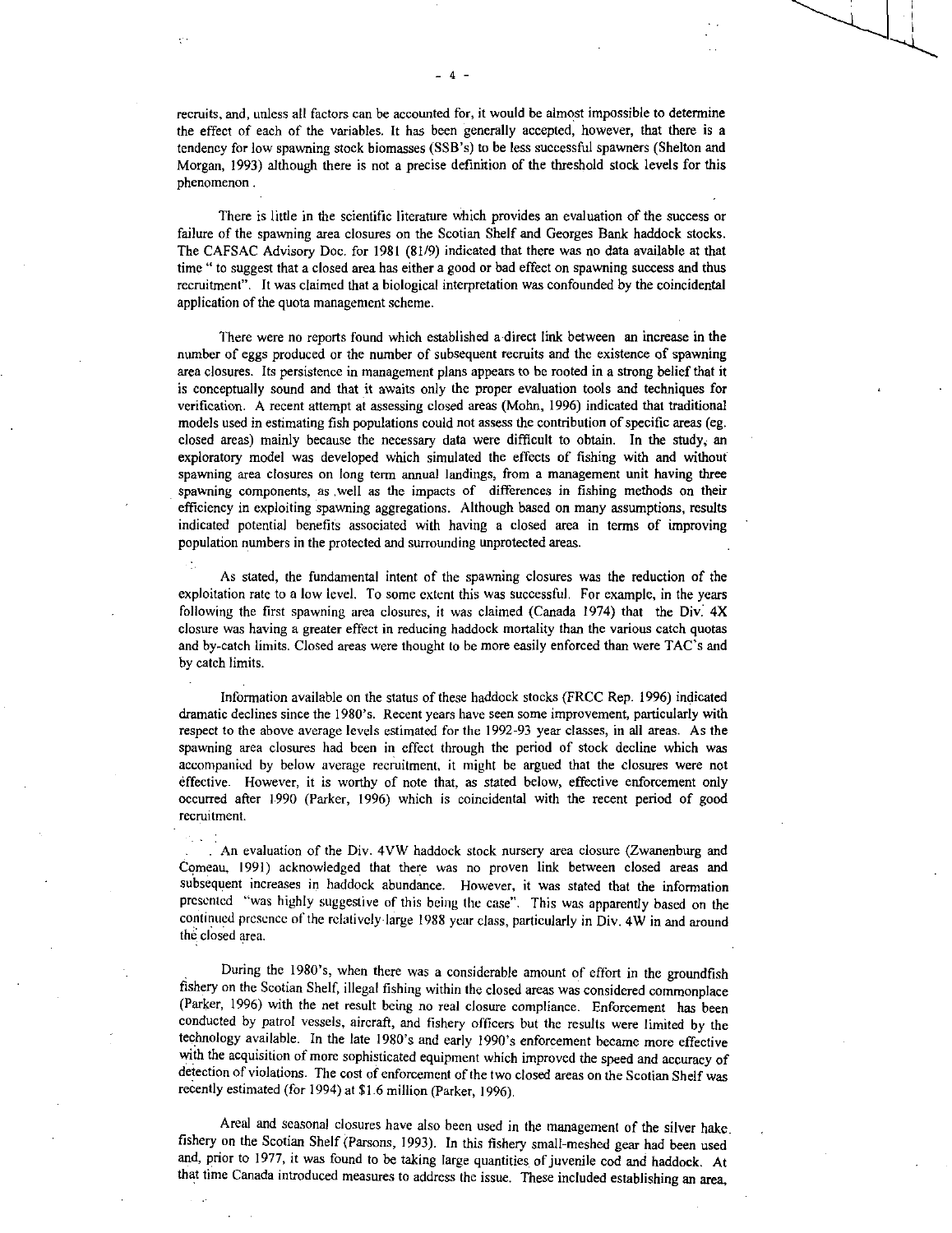recruits, and, unless all factors can be accounted for, it would be almost impossible to determine the effect of each of the variables. It has been generally accepted, however, that there is a tendency for low spawning stock biomasses (SSB's) to be less successful spawners (Shelton and Morgan, 1993) although there is not a precise definition of the threshold stock levels for this phenomenon .

There is little in the scientific literature which provides an evaluation of the success or failure of the spawning area closures on the Scotian Shelf and Georges Bank haddock stocks. The CAFSAC Advisory Doc. for 1981 (81/9) indicated that there was no data available at that time " to suggest that a closed area has either a good or bad effect on spawning success and thus recruitment". It was claimed that a biological interpretation was confounded by the coincidental application of the quota management scheme.

There were no reports found which established a direct link between an increase in the number of eggs produced or the number of subsequent recruits and the existence of spawning area closures. Its persistence in management plans appears to be rooted in a strong belief that it is conceptually sound and that it awaits only the proper evaluation tools and techniques for verification. A recent attempt at assessing closed areas (Mohn, 1996) indicated that traditional models used in estimating fish populations could not assess the contribution of specific areas (eg. closed areas) mainly because the necessary data were difficult to obtain. In the study, an exploratory model was developed which simulated the effects of fishing with and without spawning area closures on long term annual landings, from a management unit having three spawning components, as well as the impacts of differences in fishing methods on their efficiency in exploiting spawning aggregations. Although based on many assumptions, results indicated potential benefits associated with having a closed area in terms of improving population numbers in the protected and surrounding unprotected areas.

As stated, the fundamental intent of the spawning closures was the reduction of the exploitation rate to a low level. To some extent this was successful. For example, in the years following the first spawning area closures, it was claimed (Canada 1974) that the Div. 4X closure was having a greater effect in reducing haddock mortality than the various catch quotas and by-catch limits. Closed areas were thought to be more easily enforced than were TAC's and by catch limits.

•

Information available on the status of these haddock stocks (FRCC Rep. 1996) indicated dramatic declines since the 1980's. Recent years have seen some improvement, particularly with respect to the above average levels estimated for the 1992-93 year classes, in all areas. As the spawning area closures had been in effect through the period of stock decline which was accompanied by below average recruitment, it might be argued that the closures were not effective. However, it is worthy of note that, as stated below, effective enforcement only occurred after 1990 (Parker, 1996) which is coincidental with the recent period of good recruitment.

. An evaluation of the Div. 4VW haddock stock nursery area closure (Zwanenburg and Comeau, 1991) acknowledged that there was no proven link between closed areas and subsequent increases in haddock abundance. However, it was stated that the information presented "was highly suggestive of this being the case". This was apparently based on the continued presence of the relatively large 1988 year class, particularly in Div. 4W in and around the closed area.

During the 1980's, when there was a considerable amount of effort in the groundfish fishery on the Scotian Shelf, illegal fishing within the closed areas was considered commonplace (Parker, 1996) with the net result being no real closure compliance. Enforcement has been conducted by patrol vessels, aircraft, and fishery officers but the results were limited by the technology available. In the late 1980's and early 1990's enforcement became more effective with the acquisition of more sophisticated equipment which improved the speed and accuracy of detection of violations. The cost of enforcement of the two closed areas on the Scotian Shelf was recently estimated (for 1994) at \$1.6 million (Parker, 1996).

Areal and seasonal closures have also been used in the management of the silver hake\_ fishery on the Scotian Shelf (Parsons, 1993). In this fishery small-meshed gear had been used and, prior to 1977, it was found to be taking large quantities of juvenile cod and haddock. At that time Canada introduced measures to address the issue. These included establishing an area,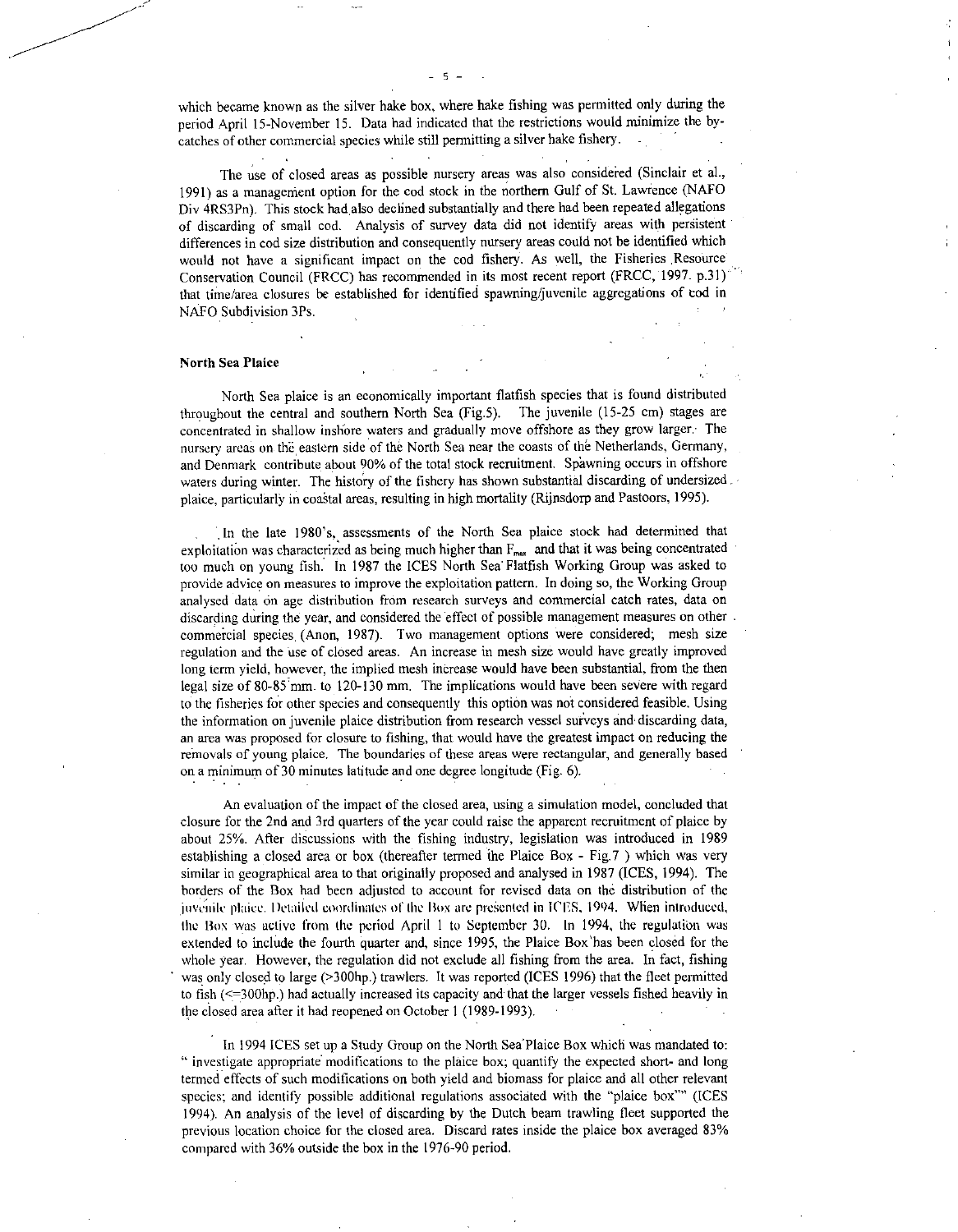which became known as the silver hake box, where hake fishing was permitted only during the period April 15-November 15. Data had indicated that the restrictions would minimize the bycatches of other commercial species while still permitting a silver hake fishery.

The use of closed areas as possible nursery areas was also considered (Sinclair et al., 1991) as a management option for the cod stock in the northern Gulf of St. Lawience (NAFO Div 4RS3Pn). This stock had also declined substantially and there had been repeated allegations of discarding of small cod. Analysis of survey data did not identify areas with persistent differences in cod size distribution and consequently nursery areas could not be identified which would not have a significant impact on the cod fishery. As well, the Fisheries Resource Conservation Council (FRCC) has recommended in its most recent report (FRCC, 1997. p.31) ' that time/area closures be established for identified spawning/juvenile aggregations of cod in NAFO Subdivision 3Ps.

### North Sea Plaice

North Sea plaice is an economically important flatfish species that is found distributed throughout the central and southern North Sea (Fig.5). The juvenile (15-25 cm) stages are concentrated in shallow inshore waters and gradually move offshore as they grow larger. The nursery areas on the eastern side of the North Sea near the coasts of the Netherlands, Germany, and Denmark contribute about 90% of the total stock recruitment. Spawning occurs in offshore waters during winter. The history of the fishery has shown substantial discarding of undersized. plaice, particularly in coastal areas, resulting in high mortality (Rijnsdorp and Pastoors, 1995).

In the late 1980's, assessments of the North Sea plaice stock had determined that exploitation was characterized as being much higher than  $F_{\text{max}}$  and that it was being concentrated too much on young fish. In 1987 the ICES North Sea Flatfish Working Group was asked to provide advice on measures to improve the exploitation pattern. In doing so, the Working Group analysed data on age distribution from research surveys and commercial catch rates, data on discarding during the year, and considered the effect of possible management measures on other. commercial species (Anon, 1987). Two management options were considered; mesh size regulation and the use of closed areas. An increase in mesh size would have greatly improved long term yield, however, the implied mesh increase would have been substantial, from the then legal size of 80-85 mm. to 120-130 mm. The implications would have been severe with regard to the fisheries for other species and consequently this option was not considered feasible. Using the information on juvenile plaice distribution from research vessel surveys and discarding data, an area was proposed for closure to fishing, that would have the greatest impact on reducing the removals of young plaice. The boundaries of these areas were rectangular, and generally based • on a minimum of 30 minutes latitude and one degree longitude (Fig. 6).

An evaluation of the impact of the closed area, using a simulation model, concluded that closure for the 2nd and 3rd quarters of the year could raise the apparent recruitment of plaice by about 25%. After discussions with the fishing industry, legislation was introduced in 1989 establishing a closed area or box (thereafter termed the Plaice Box - Fig.7 ) which was very similar in geographical area to that originally proposed and analysed in 1987 (ICES, 1994). The borders of the Box had been adjusted to account for revised data on the distribution of the juvenile plaice. Detailed coordinates of the Box are presented in ICES, 1994. When introduced, the Box was active from the period April I to September 30. In 1994, the regulation was extended to include the fourth quarter and, since 1995, the Plaice Box'has been closed for the whole year. However, the regulation did not exclude all fishing from the area. In fact, fishing was only closed to large (>300hp.) trawlers. It was reported (ICES 1996) that the fleet permitted to fish (<=300hp.) had actually increased its capacity and that the larger vessels fished heavily in the closed area after it had reopened on October 1 (1989-1993).

In 1994 ICES set up a Study Group on the North Sea<sup>+</sup>Plaice Box which was mandated to: " investigate appropriate modifications to the plaice box; quantify the expected short- and long termed effects of such modifications on both yield and biomass for plaice and all other relevant species; and identify possible additional regulations associated with the "plaice box"" (ICES 1994). An analysis of the level of discarding by the Dutch beam trawling fleet supported the previous location choice for the closed area. Discard rates inside the plaice box averaged 83% compared with 36% outside the box in the 1976-90 period.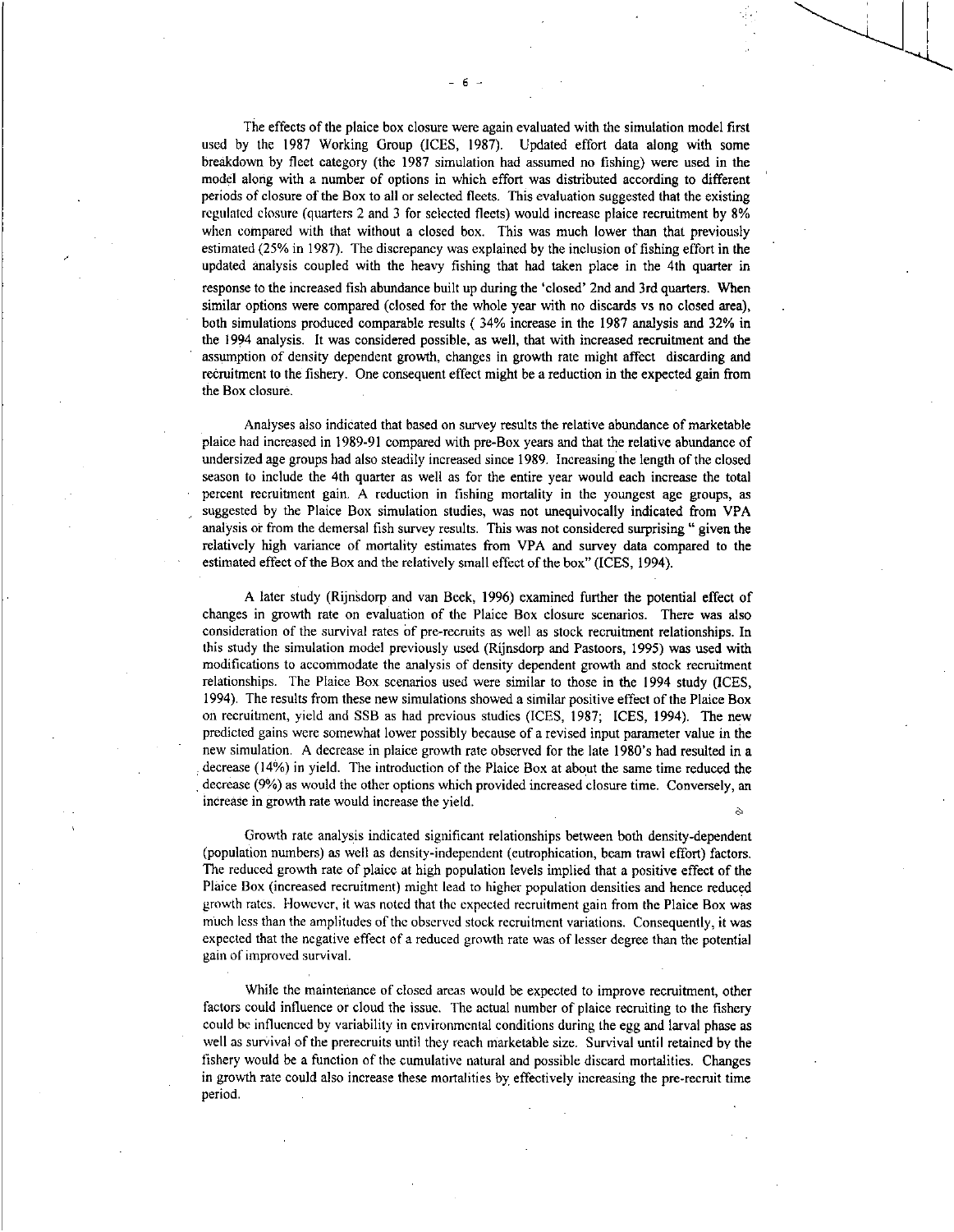The effects of the plaice box closure were again evaluated with the simulation model first used by the 1987 Working Group (ICES, 1987). Updated effort data along with some breakdown by fleet category (the 1987 simulation had assumed no fishing) were used in the model along with a number of options in which effort was distributed according to different periods of closure of the Box to all or selected fleets. This evaluation suggested that the existing regulated closure (quarters 2 and 3 for selected fleets) would increase plaice recruitment by 8% when compared with that without a closed box. This was much lower than that previously estimated (25% in 1987). The discrepancy was explained by the inclusion of fishing effort in the updated analysis coupled with the heavy fishing that had taken place in the 4th quarter in response to the increased fish abundance built up during the `closed' 2nd and 3rd quarters. When similar options were compared (closed for the whole year with no discards vs no closed area), both simulations produced comparable results ( 34% increase in the 1987 analysis and 32% in the 1994 analysis. It was considered possible, as well, that with increased recruitment and the assumption of density dependent growth, changes in growth rate might affect discarding and recruitment to the fishery. One consequent effect might be a reduction in the expected gain from the Box closure.

Analyses also indicated that based on survey results the relative abundance of marketable plaice had increased in 1989-91 compared with pre-Box years and that the relative abundance of undersized age groups had also steadily increased since 1989. Increasing the length of the closed season to include the 4th quarter as well as for the entire year would each increase the total percent recruitment gain. A reduction in fishing mortality in the youngest age groups, as suggested by the Plaice Box simulation studies, was not unequivocally indicated from VPA analysis or from the demersal fish survey results. This was not considered surprising " given the relatively high variance of mortality estimates from VPA and survey data compared to the estimated effect of the Box and the relatively small effect of the box" (ICES, 1994).

A later study (Rijnsdorp and van Beek, 1996) examined further the potential effect of changes in growth rate on evaluation of the Plaice Box closure scenarios. There *was* also consideration of the survival rates of pre-recruits as well as stock recruitment relationships. In this study the simulation model previously used (Rijnsdorp and Pastoors, 1995) was used with modifications to accommodate the analysis of density dependent growth and stock recruitment relationships. The Plaice Box scenarios used were similar to those in the 1994 study (ICES, 1994). The results from these new simulations showed a similar positive effect of the Plaice Box on recruitment, yield and SSB as had previous studies (ICES, 1987; ICES, 1994). The new predicted gains were somewhat lower possibly because of a revised input parameter value in the new simulation. A decrease in plaice growth rate observed for the late 1980's had resulted in a decrease (14%) in yield. The introduction of the Plaice Box at about the same time reduced the decrease (9%) as would the other options which provided increased closure time. Conversely, an increase in growth rate would increase the yield.

Growth rate analysis indicated significant relationships between both density-dependent (population numbers) as well as density-independent (eutrophication, beam trawl effort) factors. The reduced growth rate of plaice at high population levels implied that a positive effect of the Plaice Box (increased recruitment) might lead to higher population densities and hence reduced growth rates. However, it was noted that the expected recruitment gain from the Plaice Box was much less than the amplitudes of the observed stock recruitment variations. Consequently, it was expected that the negative effect of a reduced growth rate was of lesser degree than the potential gain of improved survival.

While the maintenance of closed areas would be expected to improve recruitment, other factors could influence or cloud the issue. The actual number of plaice recruiting to the fishery could be influenced by variability in environmental conditions during the egg and larval phase as well as survival of the prerecruits until they reach marketable size. Survival until retained by the fishery would be a function of the cumulative natural and possible discard mortalities. Changes in growth rate could also increase these mortalities by effectively increasing the pre-recruit time period.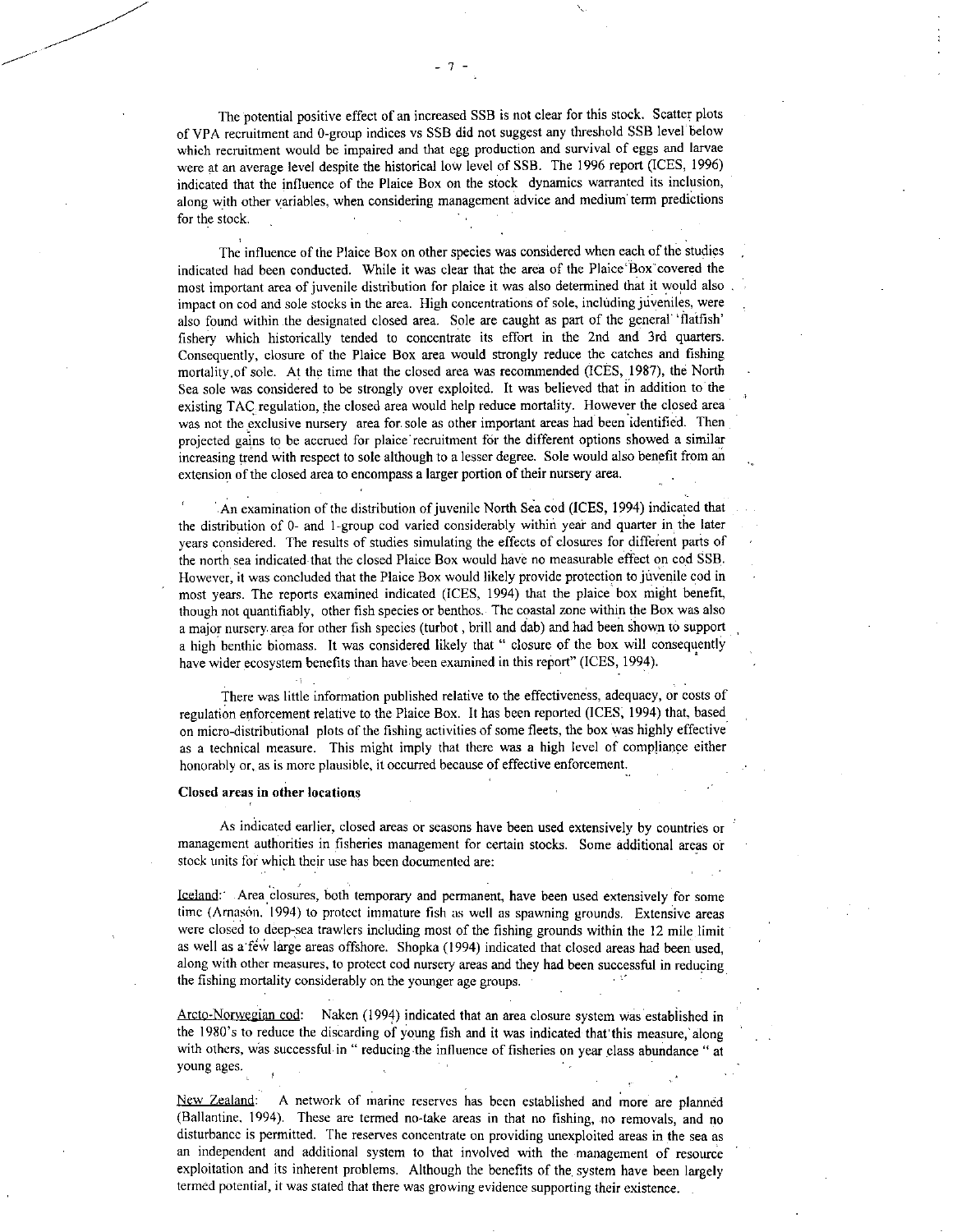The potential positive effect of an increased SSB is not clear for this stock. Scatter plots of VPA recruitment and 0-group indices vs SSB did not suggest any threshold SSB level below which recruitment would be impaired and that egg production and survival of eggs and larvae were at an average level despite the historical low level of SSB. The 1996 report (ICES, 1996) indicated that the influence of the Plaice Box on the stock dynamics warranted its inclusion, along with other variables, when considering management advice and medium' term predictions for the stock.

The influence of the Plaice Box on other species was considered when each of the studies indicated had been conducted. While it was clear that the area of the Plaice'Box covered the most important area of juvenile distribution for plaice it was also determined that it would also impact on cod and sole stocks in the area. High concentrations of sole, including juveniles, were also found within .the designated closed area. Sole are caught as part of the general 'flatfish' fishery which historically tended to concentrate its effort in the 2nd and 3rd quarters. Consequently, closure of the Plaice Box area would strongly reduce the catches and fishing mortality.of sole. At the time that the closed area was recommended (ICES, 1987), the North Sea sole was considered to be strongly over exploited. It was believed that in addition to the existing TAC regulation, the closed area would help reduce mortality. However the closed area was not the exclusive nursery area for sole as other important areas had been identified. Then projected gains to be accrued for plaice recruitment for the different options showed a similar increasing trend with respect to sole although to a lesser degree. Sole would also benefit from an extension of the closed area to encompass a larger portion of their nursery area.

An examination of the distribution of juvenile North Sea cod (ICES, 1994) indicated that the distribution of 0- and 1-group cod varied considerably within year and quarter in the later years considered. The results of studies simulating the effects of closures for different parts of the north sea indicated that the closed Plaice Box would have no measurable effect on cod SSB. However, it was concluded that the Plaice Box would likely provide protection to juvenile cod in most years. The reports examined indicated (ICES, 1994) that the plaice box might benefit, though not quantifiably, other fish species or benthos. The coastal zone within the Box was also a major nursery area for other fish species (turbot, brill and dab) and had been shown to support a high benthic biomass. It was considered likely that " closure of the box will consequently have wider ecosystem benefits than have been examined in this report" (ICES, 1994).

There was little information published relative to the effectiveness, adequacy, or costs of regulation enforcement relative to the Plaice Box. It has been reported (ICES, 1994) that, based on micro-distributional plots of the fishing activities of some fleets, the box was highly effective as a technical measure. This might imply that there was a high level of compliance either honorably or, as is more plausible, it occurred because of effective enforcement.

#### Closed areas in other locations

As indicated earlier, closed areas or seasons have been used extensively by countries or management authorities in fisheries management for certain stocks. Some additional areas or stock units for which their use has been documented are:

Iceland: - Area closures, both temporary and permanent, have been used extensively for some time (Arnason, 1994) to protect immature fish as well as spawning grounds. Extensive areas were closed to deep-sea trawlers including most of the fishing grounds within the 12 mile limit as well as a few large areas offshore. Shopka (1994) indicated that closed areas had been used, along with other measures, to protect cod nursery areas and they had been successful in reducing the fishing mortality considerably on the younger age groups.

Arcto-Norwegian cod: Naken (1994) indicated that an area closure system was established in the 1980's to reduce the discarding of young fish and it was indicated that this measure, along with others, was successful in " reducing the influence of fisheries on year class abundance " at young ages.

New Zealand: A network of marine reserves has been established and more are planned (Ballantine, 1994). These are termed no-take areas in that no fishing, no removals, and no disturbance is permitted. The reserves concentrate on providing unexploited areas in the sea as an independent and additional system to that involved with the management of resource exploitation and its inherent problems. Although the benefits of the system have been largely termed potential, it was stated that there was growing evidence supporting their existence.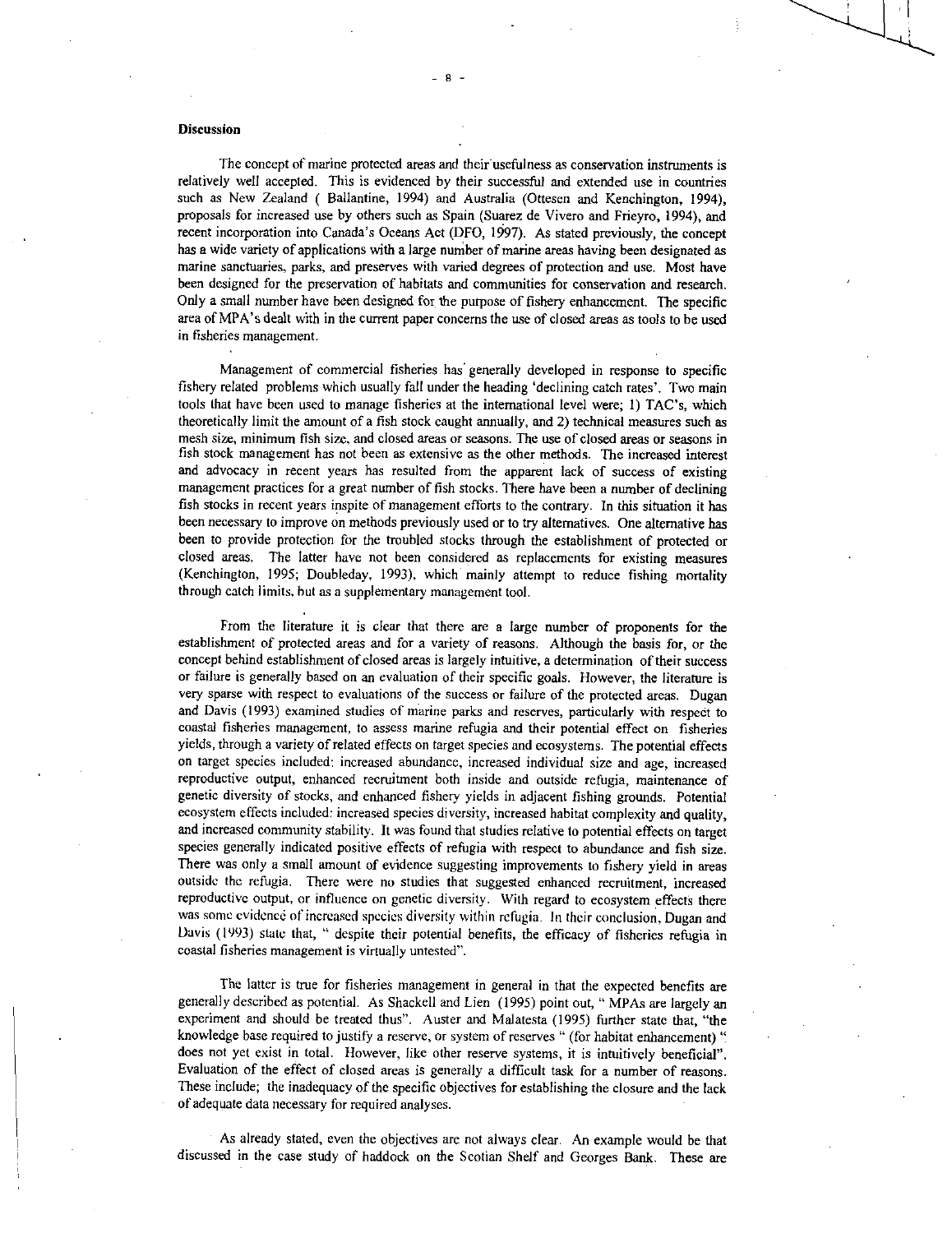#### **Discussion**

The concept of marine protected areas and their usefulness as conservation instruments is relatively well accepted. This is evidenced by their successful and extended use in countries such as New Zealand ( Ballantine, 1994) and Australia (Ottesen and Kenchington, 1994), proposals for increased use by others such as Spain (Suarez de Vivero and Frieyro, 1994), and recent incorporation into Canada's Oceans Act (DFO, 1997). As stated previously, the concept has a wide variety of applications with a large number of marine areas having been designated as marine sanctuaries, parks, and preserves with varied degrees of protection and use. Most have been designed for the preservation of habitats and communities for conservation and research. Only a small number have been designed for the purpose of fishery enhancement. The specific area of MPA's dealt with in the current paper concerns the use of closed areas as tools to be used in fisheries management.

Management of commercial fisheries has generally developed in response to specific fishery related problems which usually fall under the heading 'declining catch rates'. Two main tools that have been used to manage fisheries at the international level were; 1) TAC's, which theoretically limit the amount of a fish stock caught annually, and 2) technical measures such as mesh size, minimum fish size, and closed areas or seasons. The use of closed areas or seasons in fish stock management has not been as extensive as the other methods. The increased interest and advocacy in recent years has resulted from the apparent lack of success of existing management practices for a great number of fish stocks. There have been a number of declining fish stocks in recent years inspite of management efforts to the contrary. In this situation it has been necessary to improve on methods previously used or to try alternatives. One alternative has been to provide protection for the troubled stocks through the establishment of protected or closed areas. The latter have not been considered as replacements for existing measures (Kenchington, 1995; Doubleday, 1993), which mainly attempt to reduce fishing mortality through catch limits, but as a supplementary management tool.

From the literature it is clear that there are a large number of proponents for the establishment of protected areas and for a variety of reasons. Although the basis for, or the concept behind establishment of closed areas is largely intuitive, a determination of their success or failure is generally based on an evaluation of their specific goals. However, the literature is very sparse with respect to evaluations of the success or failure of the protected areas. Dugan and Davis (1993) examined studies of marine parks and reserves, particularly with respect to coastal fisheries management, to assess marine refugia and their potential effect on fisheries yields, through a variety of related effects on target species and ecosystems. The potential effects on target species included: increased abundance, increased individual size and age, increased reproductive output, enhanced recruitment both inside and outside refugia, maintenance of genetic diversity of stocks, and enhanced fishery yields in adjacent fishing grounds. Potential ecosystem effects included: increased species diversity, increased habitat complexity and quality, and increased community stability. It was found that studies relative to potential effects on target species generally indicated positive effects of refugia with respect to abundance and fish size. There was only a small amount of evidence suggesting improvements to fishery yield in areas outside the refugia. There were no studies that suggested enhanced recruitment, increased reproductive output, or influence on genetic diversity. With regard to ecosystem effects there was some evidence of increased species diversity within refugia. In their conclusion, Dugan and Davis (1993) state that, " despite their potential benefits, the efficacy of fisheries refugia in coastal fisheries management is virtually untested".

The latter is true for fisheries management in general in that the expected benefits are generally described as potential. As Shackell and Lien (1995) point out, " MPAs are largely an experiment and should be treated thus". Auster and Malatesta (1995) further state that, "the knowledge base required to justify a reserve, or system of reserves " (for habitat enhancement) " does not yet exist in total. However, like other reserve systems, it is intuitively beneficial". Evaluation of the effect of closed areas is generally a difficult task for a number of reasons. These include; the inadequacy of the specific objectives for establishing the closure and the lack of adequate data necessary for required analyses.

As already stated, even the objectives are not always clear. An example would be that discussed in the case study of haddock on the Scotian Shelf and Georges Bank. These are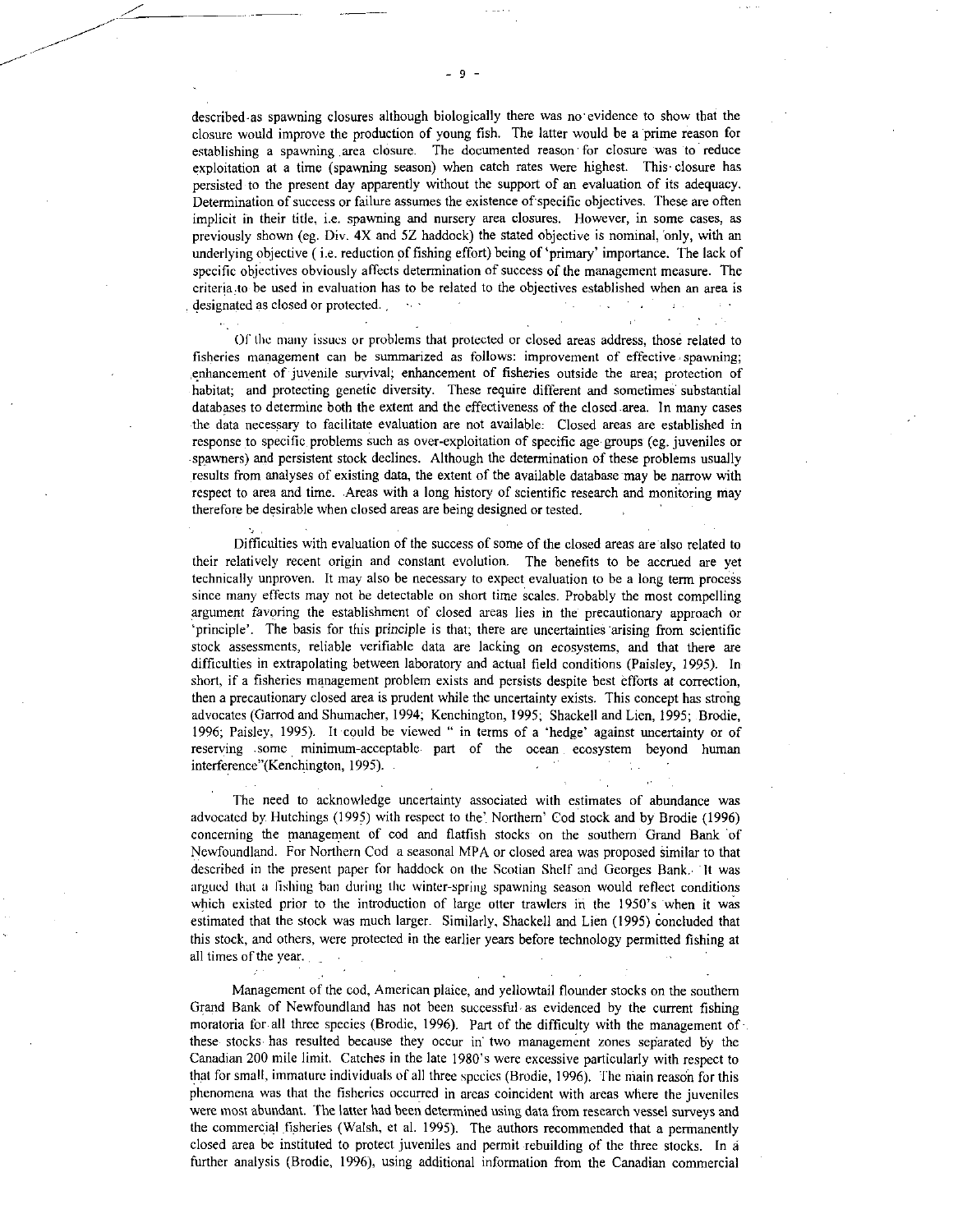described-as spawning closures although biologically there was no•evidence to show that the closure would improve the production of young fish. The latter would be a prime reason for establishing a spawning area closure. The documented reason • for closure was to reduce exploitation at a time (spawning season) when catch rates were highest. This closure has persisted to the present day apparently without the support of an evaluation of its adequacy. Determination of success or failure assumes the existence of specific objectives. These are often implicit in their title, i.e. spawning and nursery area closures. However, in some cases, as previously shown (eg. Div. 4X and 5Z haddock) the stated objective is nominal, 'only, with an underlying objective ( i.e. reduction of fishing effort) being of 'primary' importance. The lack of specific objectives obviously affects determination of success of the management measure. The criteria to be used in evaluation has to be related to the objectives established when an area is designated as closed or protected.

Of the many issues or problems that protected or closed areas address, those related to fisheries management can be summarized as follows: improvement of effective , spawning; enhancement of juvenile survival; enhancement of fisheries outside the area; protection of habitat; and protecting genetic diversity. These require different and sometimes substantial databases to determine both the extent and the effectiveness of the closed .area. In many cases the data necessary to facilitate evaluation are not available: Closed areas are established in response to specific problems such as over-exploitation of specific age groups (eg. juveniles or spawners) and persistent stock declines. Although the determination of these problems usually results from analyses of existing data, the extent of the available database may be narrow with respect to area and time. Areas with a long history of scientific research and monitoring may therefore be desirable when closed areas are being designed or tested.

Difficulties with evaluation of the success of some of the closed areas are also related to their relatively recent origin and constant evolution. The benefits to be accrued are yet technically unproven. It may also be necessary to expect evaluation to be a long term process since many effects may not be detectable on short time scales. Probably the most compelling argument favoring the establishment of closed areas lies in the precautionary approach or `principle'. The basis for this principle is that; there are uncertainties arising from scientific stock assessments, reliable verifiable data are lacking on ecosystems, and that there are difficulties in extrapolating between laboratory and actual field conditions (Paisley, 1995). In short, if a fisheries management problem exists and persists despite best efforts at correction, then a precautionary closed area is prudent while the uncertainty exists. This concept has strong advocates (Garrod and Shumacher, 1994; Kenchington, 1995; Shackell and Lien, 1995; Brodie, 1996; Paisley, 1995). It could be viewed " in terms of a 'hedge' against uncertainty or of reserving some minimum-acceptable part of the ocean ecosystem beyond human interference"(Kenchington, 1995).

The need to acknowledge uncertainty associated with estimates of abundance was advocated by Hutchings (1995) with respect to the'. Northern' Cod stock and by Brodie (1996) concerning the management of cod and flatfish stocks on the southern Grand Bank of Newfoundland. For Northern Cod a seasonal MPA or closed area was proposed similar to that described in the present paper for haddock on the Scotian Shelf and Georges Bank. It was argued that a fishing ban during the winter-spring spawning season would reflect conditions which existed prior to the introduction of large otter trawlers in the 1950's when it was estimated that the stock was much larger. Similarly, Shackell and Lien (1995) concluded that this stock, and others, were protected in the earlier years before technology permitted fishing at all times of the year.

Management of the cod, American plaice, and yellowtail flounder stocks on the southern Grand Bank of Newfoundland has not been successful as evidenced by the current fishing moratoria for all three species (Brodie, 1996). Part of the difficulty with the management of these stocks, has resulted because they occur in two management zones separated by the Canadian 200 mile limit. Catches in the late 1980's were excessive particularly with respect to that for small, immature individuals of all three species (Brodie, 1996). The main reason for this phenomena was that the fisheries occurred in areas coincident with areas where the juveniles were most abundant. The latter had been determined using data from research vessel surveys and the commercial fisheries (Walsh, et al. 1995). The authors recommended that a permanently closed area be instituted to protect juveniles and permit rebuilding of the three stocks. In further analysis (Brodie, 1996), using additional information from the Canadian commercial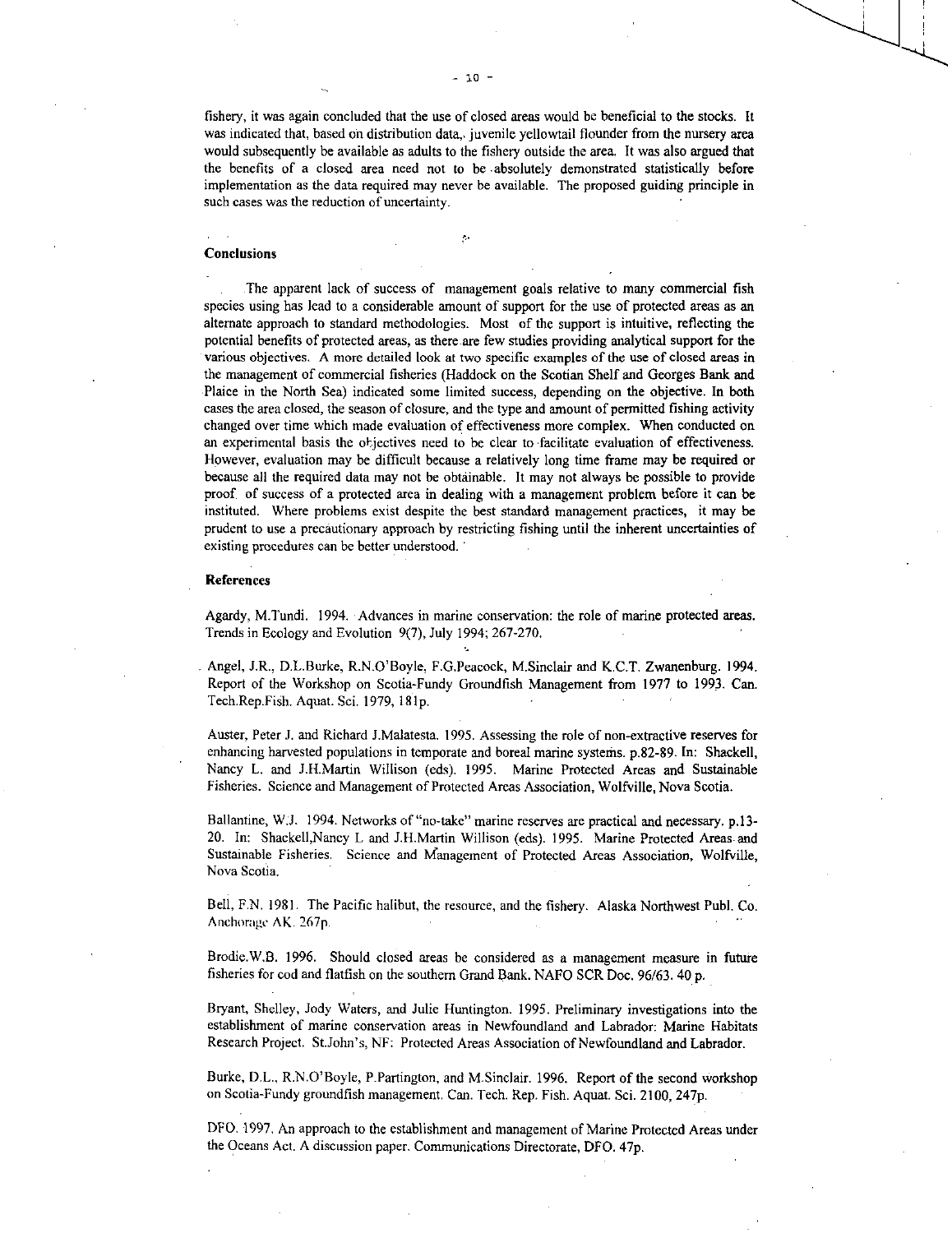fishery, it was again concluded that the use of closed areas would be beneficial to the stocks. It was indicated that, based on distribution data, juvenile yellowtail flounder from the nursery area would subsequently be available as adults to the fishery outside the area. It was also argued that the benefits of a closed area need not to be absolutely demonstrated statistically before implementation as the data required may never be available. The proposed guiding principle in such cases was the reduction of uncertainty.

#### Conclusions

The apparent lack of success of management goals relative to many commercial fish species using has lead to a considerable amount of support for the use of protected areas as an alternate approach to standard methodologies. Most of the support is intuitive, reflecting the potential benefits of protected areas, as there are few studies providing analytical support for the various objectives. A more detailed look at two specific examples of the use of closed areas in the management of commercial fisheries (Haddock on the Scotian Shelf and Georges Bank and Plaice in the North Sea) indicated some limited success, depending on the objective. In both cases the area closed, the season of closure, and the type and amount of permitted fishing activity changed over time which made evaluation of effectiveness more complex. When conducted on an experimental basis the objectives need to be clear to facilitate evaluation of effectiveness. However, evaluation may be difficult because a relatively long time frame may be required or because all the required data may not be obtainable. It may not always be possible to provide proof of success of a protected area in dealing with a management problem before it can be instituted. Where problems exist despite the best standard management practices, it may be prudent to use a precautionary approach by restricting fishing until the inherent uncertainties of existing procedures can be better understood.

#### References

Agardy, M.Tundi. 1994. Advances in marine conservation: the role of marine protected areas. Trends in Ecology and Evolution 9(7), July 1994; 267-270.

Angel, J.R., D.L.Burke, R.N.O'Boyle, F.G.Peacock, M.Sinclair and K.C.T. Zwanenburg. 1994. Report of the Workshop on Scotia-Fundy Groundfish Management from 1977 to 1993. Can. Tech.Rep.Fish. Aquat. Sci. 1979, 181p.

Auster, Peter J. and Richard J.Malatesta. 1995. Assessing the role of non-extractive reserves for enhancing harvested populations in temporate and boreal marine systems. p.82-89. In: Shackell, Nancy L. and J.H.Martin Willison (eds). 1995. Marine Protected Areas and Sustainable Fisheries. Science and Management of Protected Areas Association, Wolfville, Nova Scotia.

Ballantine, W.J. 1994. Networks of "no-take" marine reserves are practical and necessary. p.13- 20. In: Shackell,Nancy L and J.H.Martin Willison (eds). 1995. Marine Protected Areas. and Sustainable Fisheries. Science and Management of Protected Areas Association, Wolfville, Nova Scotia.

Bell, F.N. 1981. The Pacific halibut, the resource, and the fishery. Alaska Northwest Publ. Co. Anchorage AK. 267p.

Brodie.W.B. 1996. Should closed areas be considered as a management measure in future fisheries for cod and flatfish on the southern Grand Bank. NAFO SCR Doc. 96/63. 40 p.

Bryant, Shelley, Jody Waters, and Julie Huntington. 1995. Preliminary investigations into the establishment of marine conservation areas in Newfoundland and Labrador: Marine Habitats Research Project. St.John's, NF: Protected Areas Association of Newfoundland and Labrador.

Burke, D.L., R.N.O'Boyle, P.Partington, and M.Sinclair. 1996. Report of the second workshop on Scotia-Fundy groundfish management. Can. Tech. Rep. Fish. Aquat. Sci. 2100, 247p.

DFO. 1997. An approach to the establishment and management of Marine Protected Areas under the Oceans Act. A discussion paper. Communications Directorate, DFO. 47p.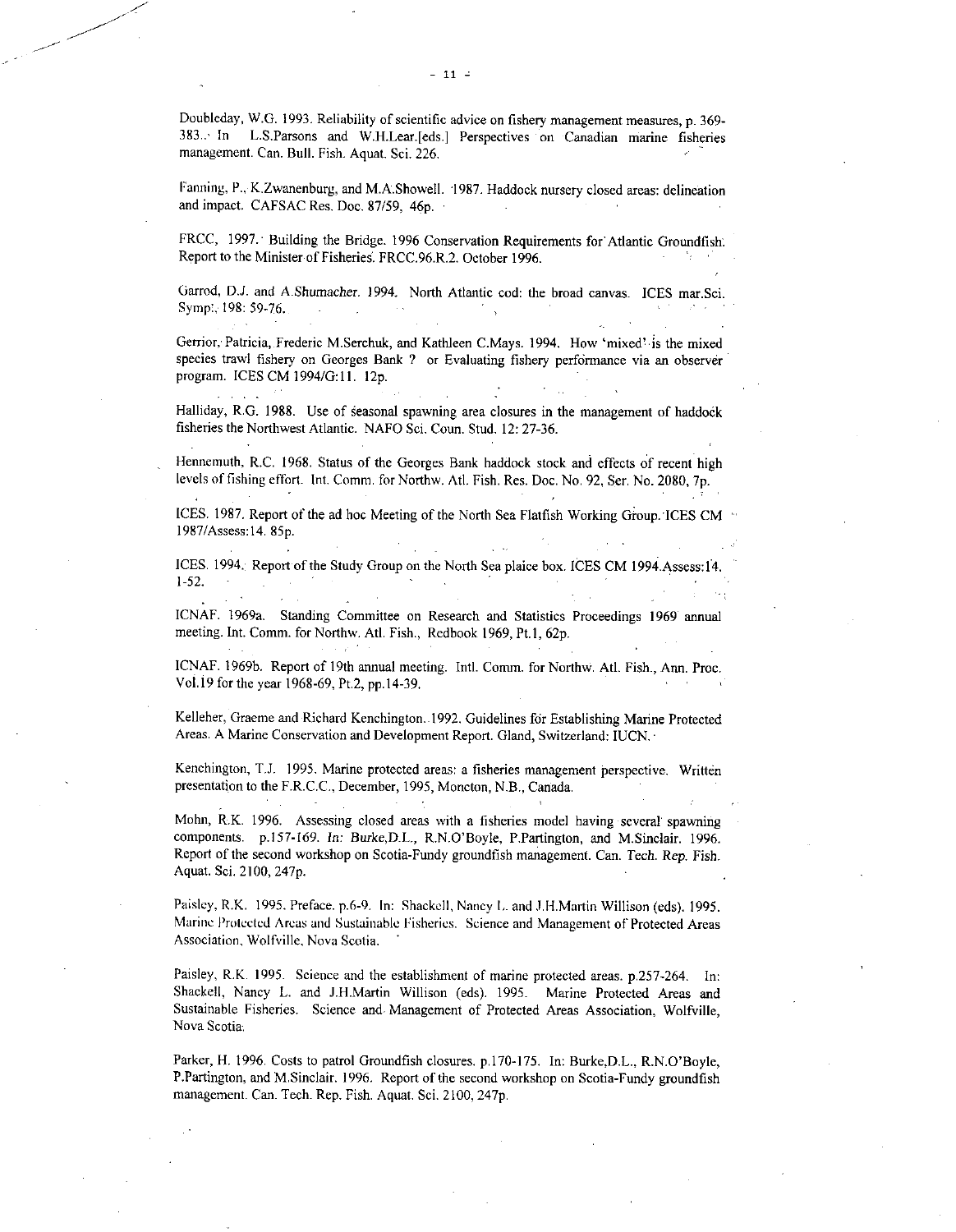Doubleday, W.G. 1993. Reliability of scientific advice on fishery management measures, p. 369- 383..• In L.S.Parsons and W.H.Lear.[eds.] Perspectives on Canadian marine fisheries management. Can. Bull. Fish. Aquat. Sci. 226.

Fanning, P., K.Zwanenburg, and M.A.Showell. 1987. Haddock nursery closed areas: delineation and impact. CAFSAC Res. Doc. 87/59, 46p. ·

FRCC, 1997. Building the Bridge. 1996 Conservation Requirements for Atlantic Groundfish. Report to the Minister of Fisheries. FRCC.96.R.2. October 1996.

Garrod, D.J. and A.Shumacher. 1994. North Atlantic cod: the broad canvas. ICES mar.Sci. Symp:, 198: 59-76. .  $\sim 100$  $\sim 10^{-11}$ 

Gerrior, Patricia, Frederic M.Serchuk, and Kathleen C.Mays. 1994. How 'mixed' is the mixed species trawl fishery on Georges Bank ? or Evaluating fishery performance via an observer program. ICES CM 1994/G:11. 12p.

Halliday, R.G. 1988. Use of seasonal spawning area closures in the management of haddock fisheries the Northwest Atlantic. NAFO Sci. Coun. Stud. 12: 27-36.

Hennemuth, R.C. 1968. Status of the Georges Bank haddock stock and effects of recent high levels of fishing effort. Int. Comm. for Northw. Atl. Fish. Res. Doc. No. 92, Ser. No. 2080, 7p.

ICES. 1987. Report of the ad hoc Meeting of the North Sea Flatfish Working Group. ICES CM 1987/Assess:14. 85p.

 $\sim$ 

ICES. 1994. Report of the Study Group on the North Sea plaice box. ICES CM 1994.Assess:14. 1-52.

ICNAF. 1969a. Standing Committee on Research and Statistics Proceedings 1969 annual meeting. Int. Comm. for Northw. Atl. Fish., Redbook 1969, Pt.1, 62p.

ICNAF. 1969b. Report of 19th annual meeting. Intl. Comm. for Northw. Atl. Fish., Ann. Proc. Vo1.19 for the year 1968-69, Pt.2, pp.14-39.

Kelleher, Graeme and Richard Kenchington..1992. Guidelines for Establishing Marine Protected Areas. A Marine Conservation and Development Report. Gland, Switzerland: IUCN. •

Kenchington, T.J. 1995. Marine protected areas: a fisheries management perspective. Written presentation to the F.R.C.C., December, 1995, Moncton, N.B., Canada.

Mohn, R.K. 1996. Assessing closed areas with a fisheries model having several spawning components. p.157-169. In: Burke,D.L., R.N.O'Boyle, P.Partington, and M.Sinclair. 1996. Report of the second workshop on Scotia-Fundy groundfish management. Can. Tech. Rep. Fish. Aquat. Sci. 2100, 247p.

Paisley, R.K. 1995. Preface. p.6-9. In: Shackell, Nancy I,. and 111.Martin Willison (eds). 1995. Marine Protected Areas and Sustainable Fisheries. Science and Management of Protected Areas Association, Wolfville, Nova Scotia.

Paisley, R.K. 1995. Science and the establishment of marine protected areas. p.257-264. In: Shackell, Nancy L. and J.H.Martin Willison (eds). 1995. Marine Protected Areas and Sustainable Fisheries. Science and, Management of Protected Areas Association, Wolfville, Nova Scotia.

Parker, H. 1996. Costs to patrol Groundfish closures. p.170-175. In: Burke,D.L., R.N.O'Boyle, P.Partington, and M.Sinclair. 1996. Report of the second workshop on Scotia-Fundy groundfish management. Can. Tech. Rep. Fish. Aquat. Sci. 2100, 247p.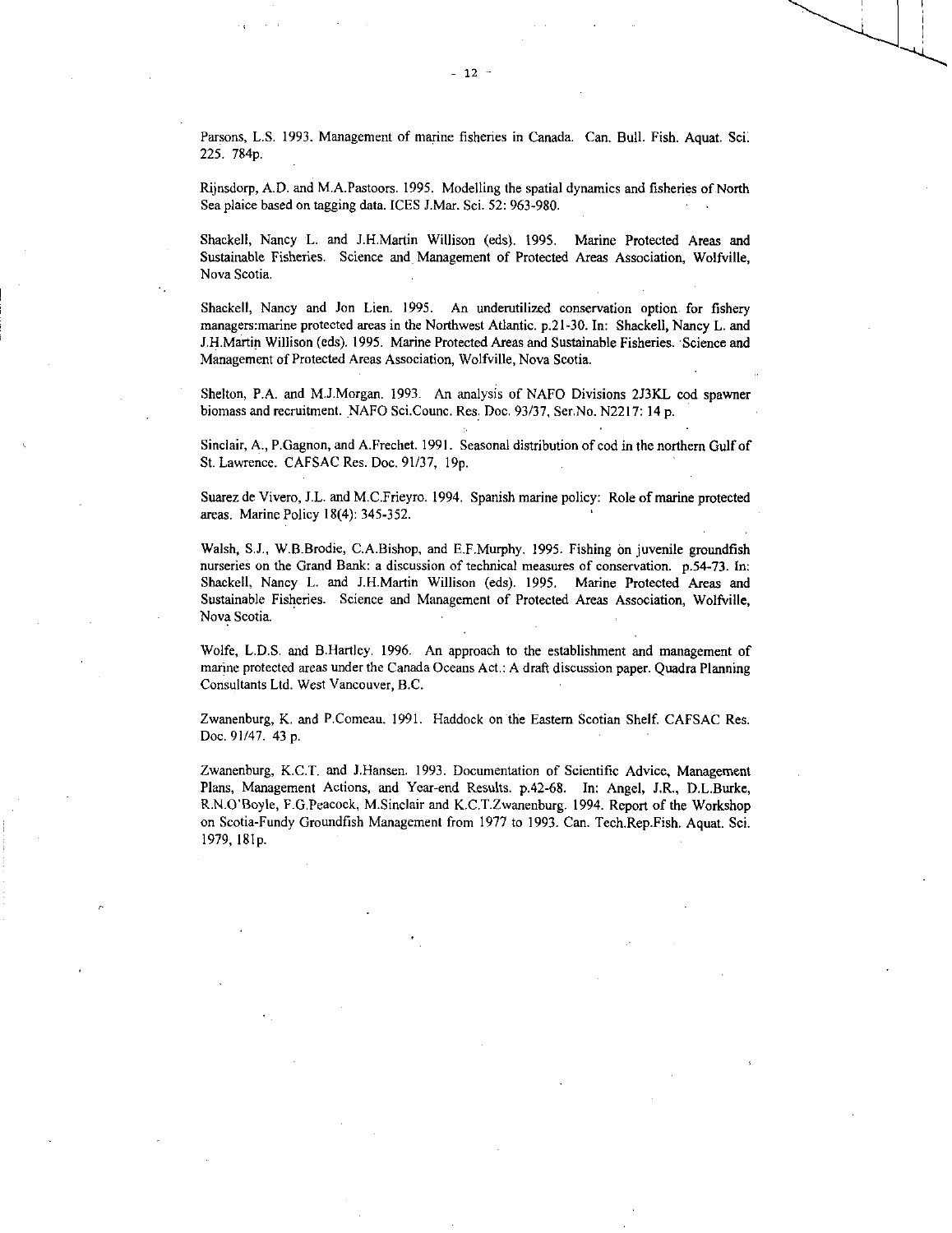Parsons, L.S.1993. Management of marine fisheries in Canada. Can. Bull. Fish. Aquat. Sci. 225. 784p.

Rijnsdorp, A.D. and M.A.Pastoors. 1995. Modelling the spatial dynamics and fisheries of. North Sea plaice based on tagging data. ICES J.Mar. Sci. 52: 963-980.

Shackell, Nancy L. and J.H.Martin Willison (eds). 1995. Marine Protected Areas and Sustainable Fisheries. Science and Management of Protected Areas Association, Wolfville, Nova Scotia.

Shackell, Nancy and Jon Lien. 1995. An underutilized conservation option for fishery managers:marine protected areas in the Northwest Atlantic. p.21-30. In: Shackell, Nancy L. and J.H.Martin Willison (eds). 1995. Marine Protected Areas and Sustainable Fisheries. Science and Management of Protected Areas Association, Wolfville, Nova Scotia.

Shelton, P.A. and M.J.Morgan. 1993. An analysis of NAFO Divisions 2J3KL cod spawner biomass and recruitment. NAFO Sci.Counc. Res. Doc. 93/37, Ser.No. N2217: 14 p.

Sinclair, A., P.Gagnon, and A.Frechet. 1991. Seasonal distribution of cod in the northern Gulf of St. Lawrence. CAFSAC Res. Doc. 91/37, 19p.

Suarez de Vivero, J.L. and M.C.Frieyro. 1994. Spanish marine policy: Role of marine protected areas. Marine Policy 18(4): 345-352.

Walsh, S.J., W.B.Brodie, C.A.Bishop, and E.F.Murphy. 1995. Fishing on juvenile groundfish nurseries on the Grand Bank: a discussion of technical measures of conservation. p.54-73. In: Shackell, Nancy L. and J.H.Martin Willison (eds). 1995, Marine Protected Areas and Sustainable Fisheries. Science and Management of Protected Areas Association, Wolfville, Nova Scotia.

Wolfe, L.D.S. and B.Hartley. 1996. An approach to the establishment and management of marine protected areas under the Canada Oceans Act.: A draft discussion paper. Quadra Planning Consultants Ltd. West Vancouver, B.C.

Zwanenburg, K. and P.Comeau. 1991. Haddock on the Eastern Scotian Shelf. CAFSAC Res. Doc. 91/47. 43 p.

Zwanenburg, K.C.T. and J.Hansen. 1993. Documentation of Scientific Advice, Management Plans, Management Actions, and Year-end Results. p.42-68. In: Angel, J.R., D.L.Burke, R.N.O'Boyle, F.G.Peacock, M.Sinclair and K.C.T.Zwanenburg. 1994. Report of the Workshop on Scotia-Fundy Groundfish Management from 1977 to 1993. Can. Tech.Rep.Fish. Aquat. Sci. 1979, 181p.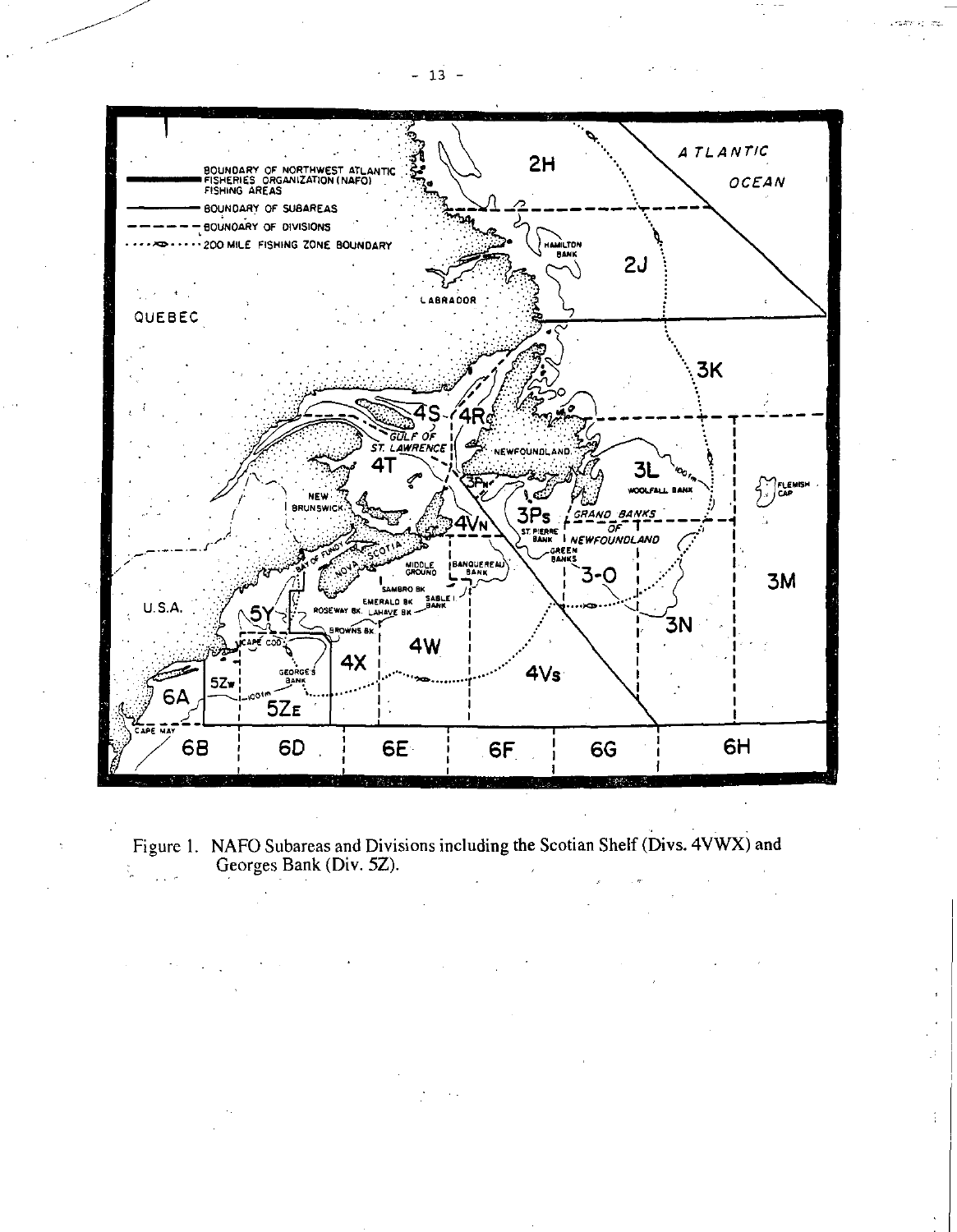



 $-13 -$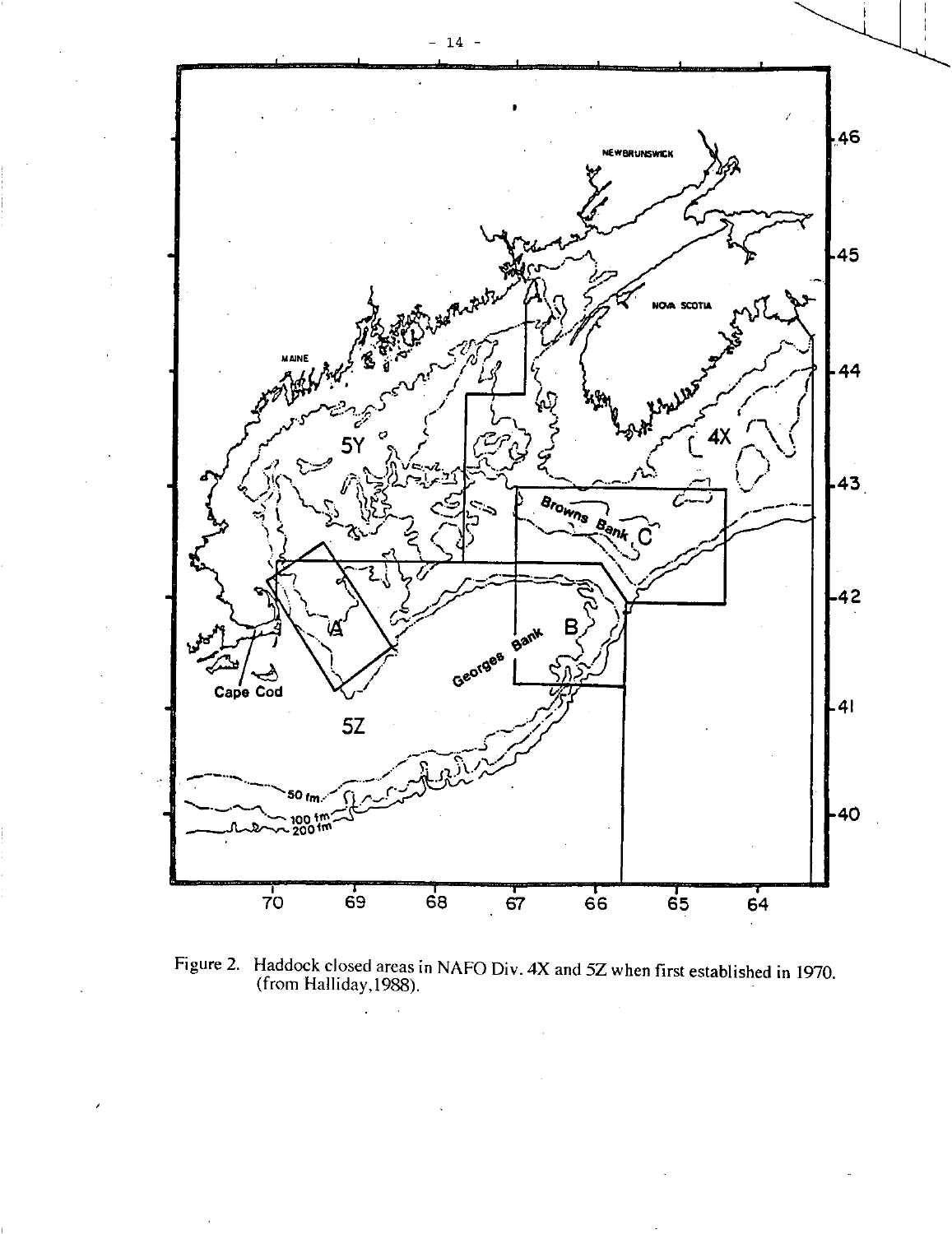

Figure 2. Haddock closed areas in NAFO Div.  $4X$  and  $5Z$  when first established in 1970. (from Halliday,1988).

ù.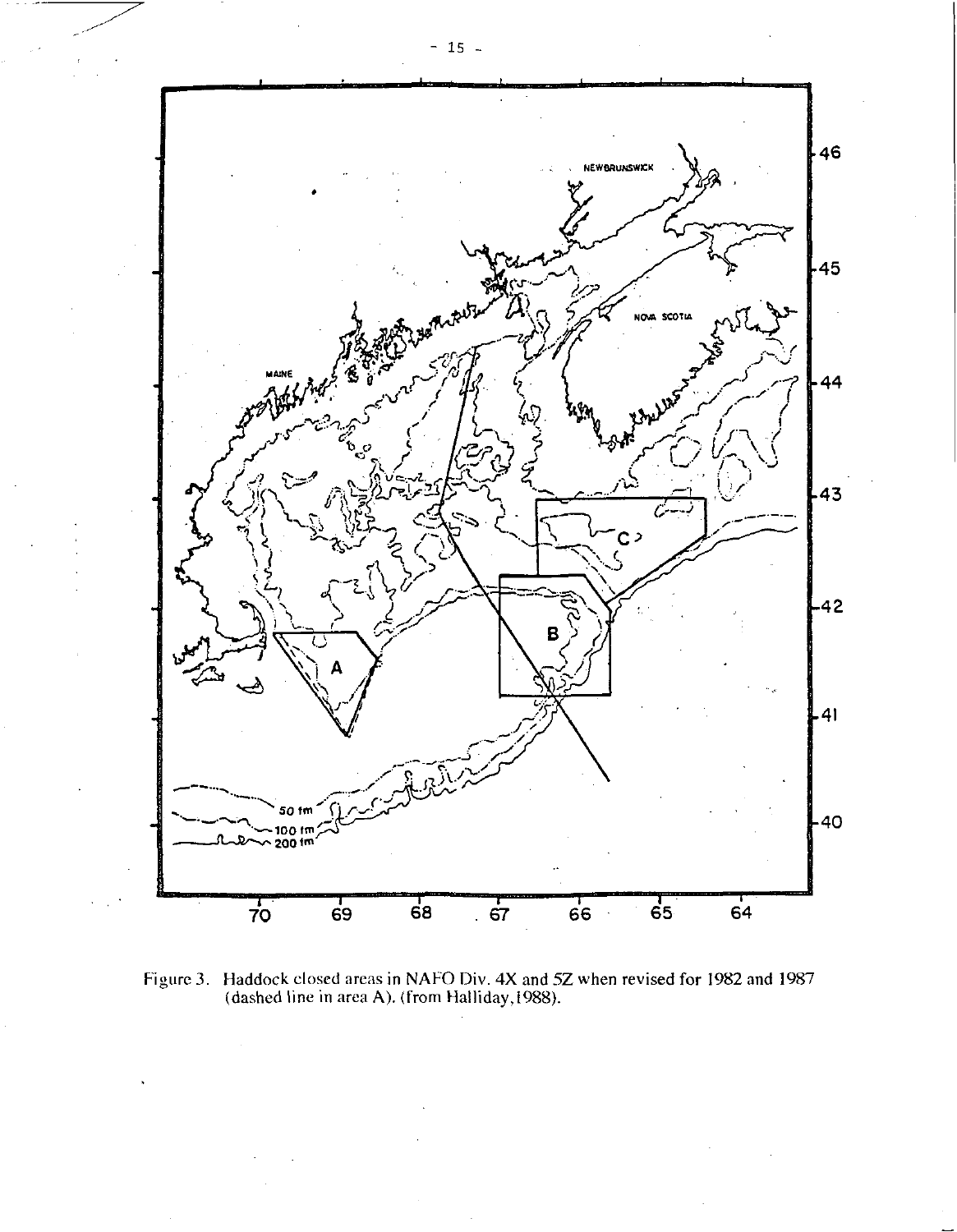

Figure 3. Haddock closed areas in NAFO Div. 4X and 5Z when revised for 1982 and 1987 (dashed line in area A). (from Halliday, 1988).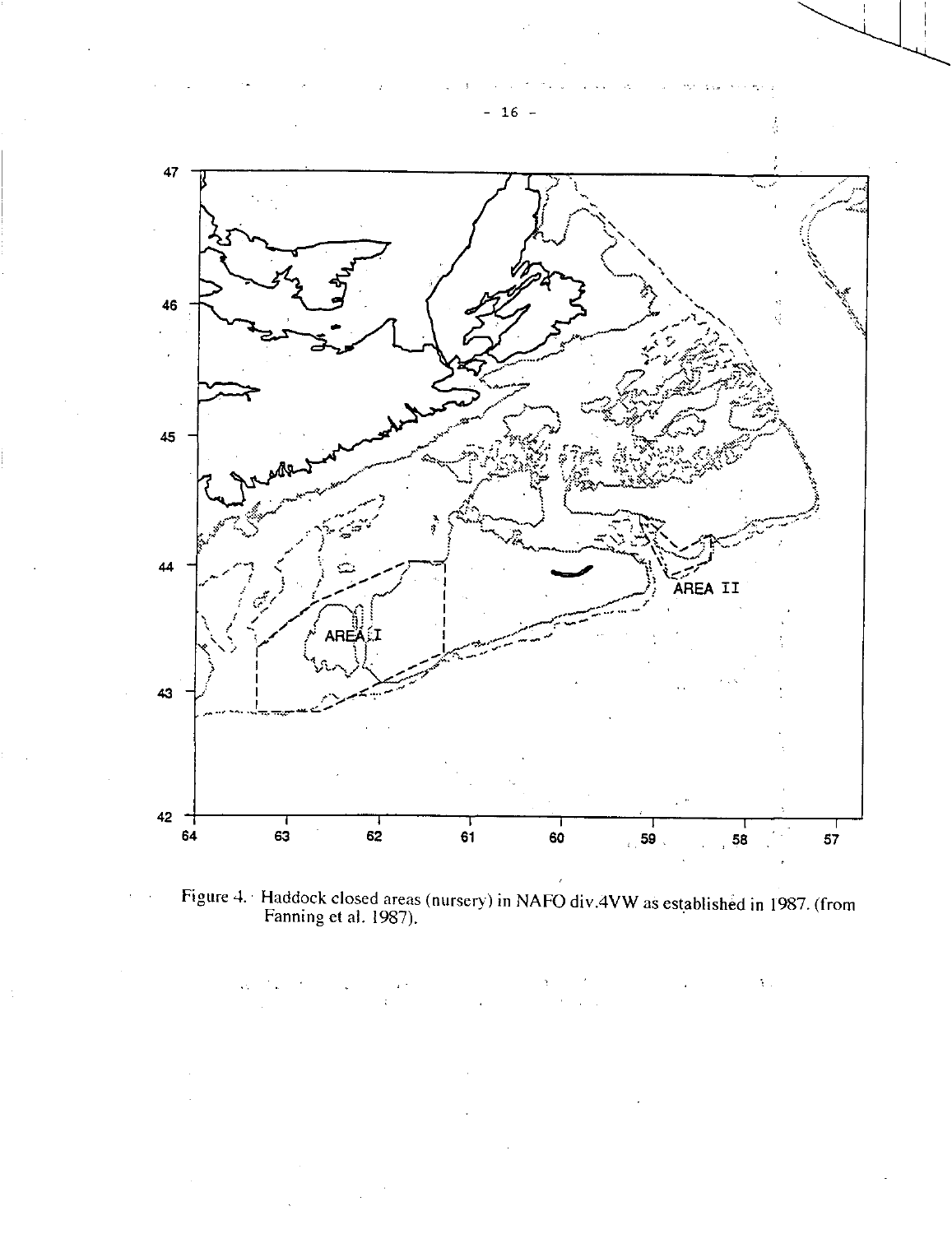

Figure 4. Haddock closed areas (nursery) in NAFO div.4VW as established in 1987. (from Fanning et al. 1987).

 $\mathfrak{t}$  .

- 16 -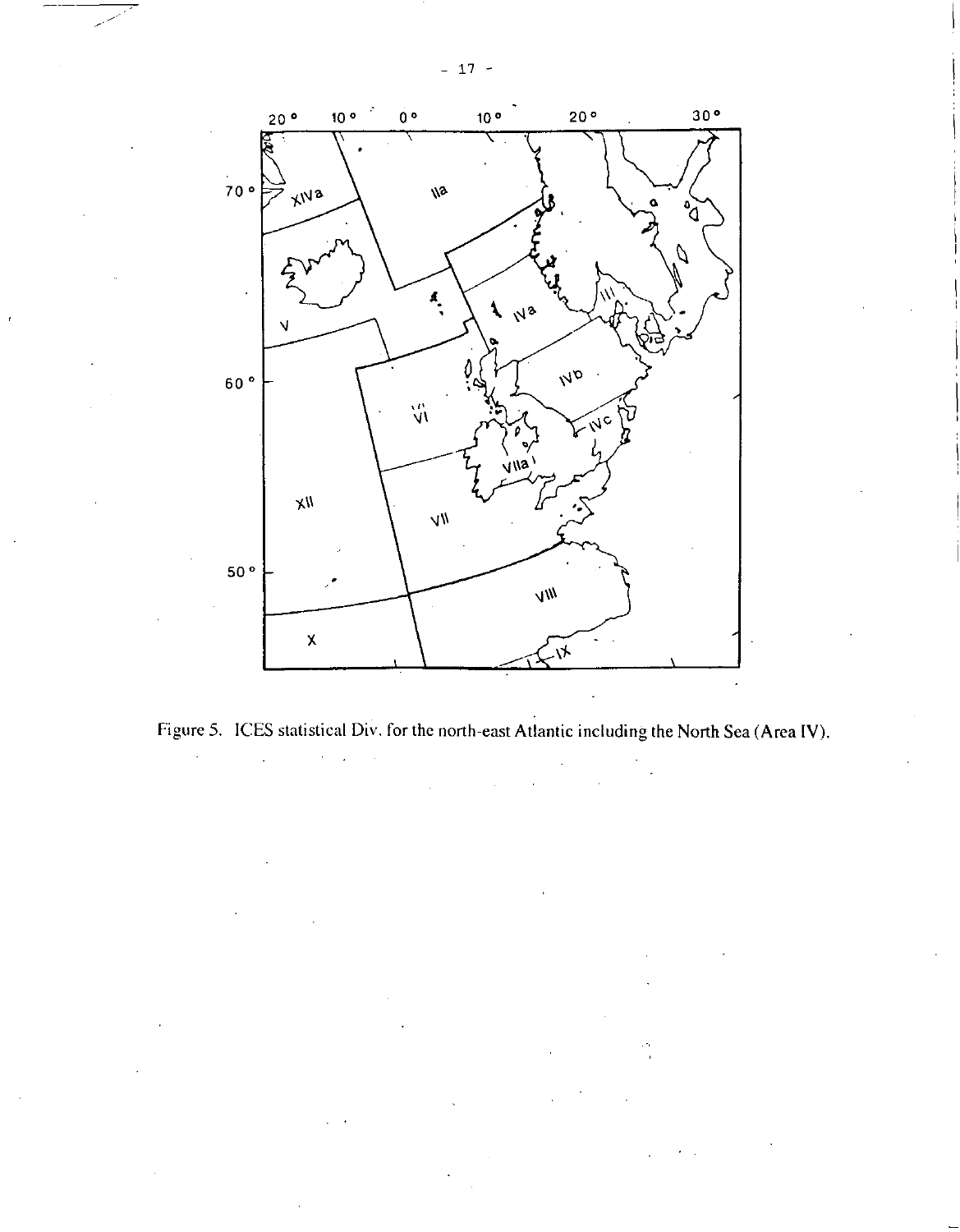

Figure 5. ICES statistical Div. for the north-east Atlantic including the North Sea (Area IV).  $\sim$ 

 $-17 -$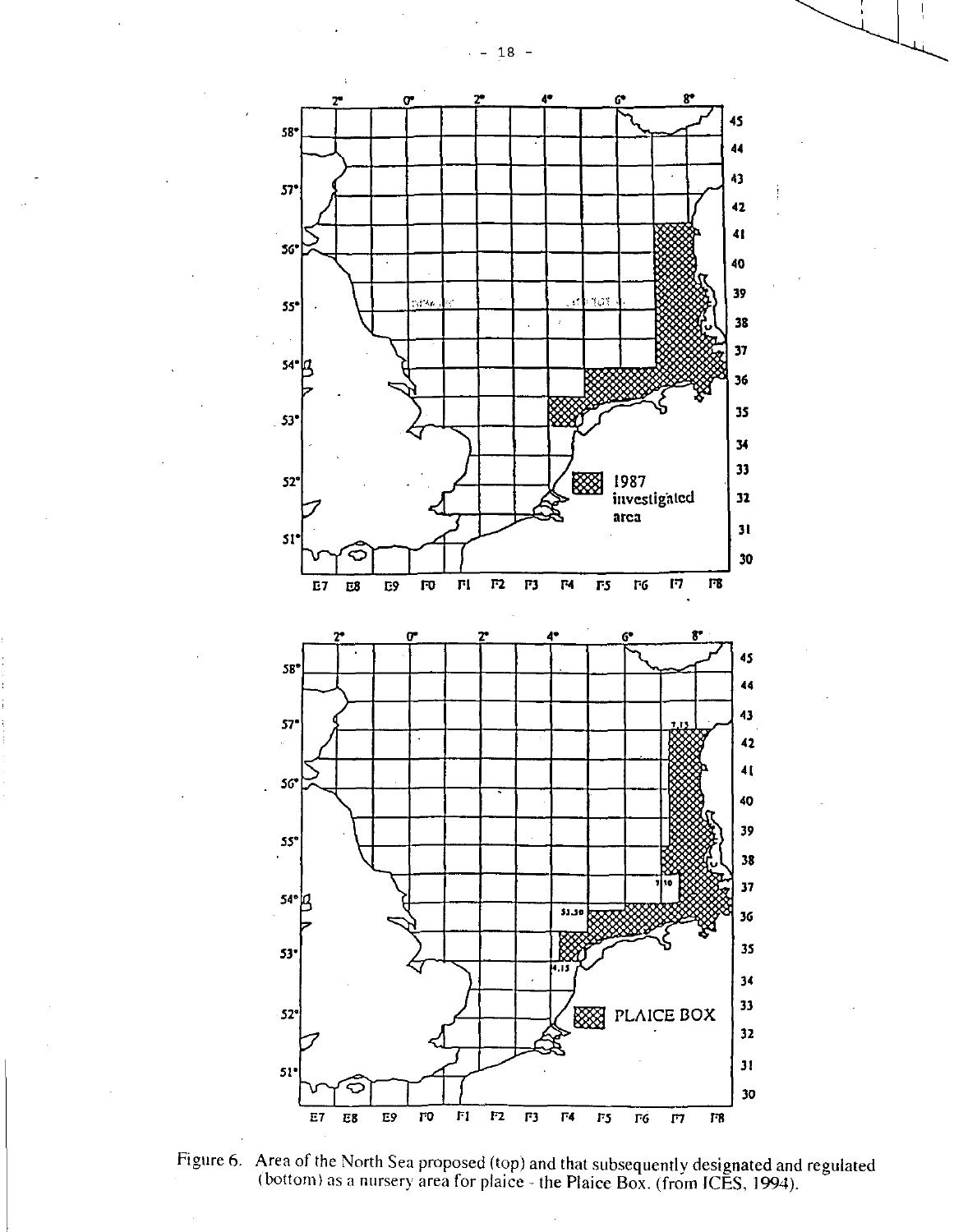

Figure 6. Area of the North Sea proposed (top) and that subsequently designated and regulated (bottom) as a nursery area for plaice - the Plaice Box. (from ICES, 1994).